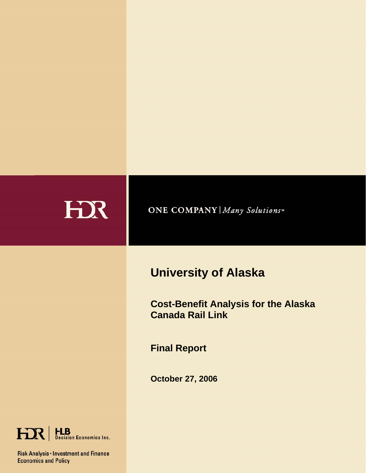| HX | <b>ONE COMPANY   Many Solutions</b> "                                                                                                                   |
|----|---------------------------------------------------------------------------------------------------------------------------------------------------------|
|    | <b>University of Alaska</b><br><b>Cost-Benefit Analysis for the Alaska</b><br><b>Canada Rail Link</b><br><b>Final Report</b><br><b>October 27, 2006</b> |

HR | HLB<br>Decision Economics Inc.

Risk Analysis • Investment and Finance<br>Economics and Policy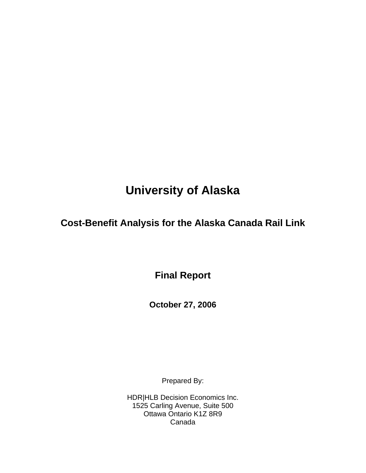# **University of Alaska**

## **Cost-Benefit Analysis for the Alaska Canada Rail Link**

**Final Report** 

**October 27, 2006** 

Prepared By:

HDR|HLB Decision Economics Inc. 1525 Carling Avenue, Suite 500 Ottawa Ontario K1Z 8R9 Canada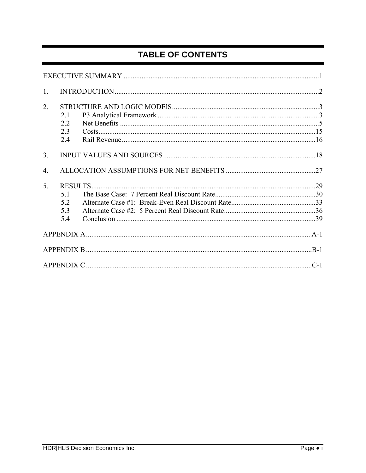## TABLE OF CONTENTS

| $\mathbf{1}$ . |                                    |  |
|----------------|------------------------------------|--|
| 2.             | 21<br>2.2<br>23<br>2.4             |  |
| 3.             |                                    |  |
| 4.             |                                    |  |
| 5.             | RESULTS<br>51<br>5.2<br>5.3<br>5.4 |  |
|                |                                    |  |
|                |                                    |  |
|                |                                    |  |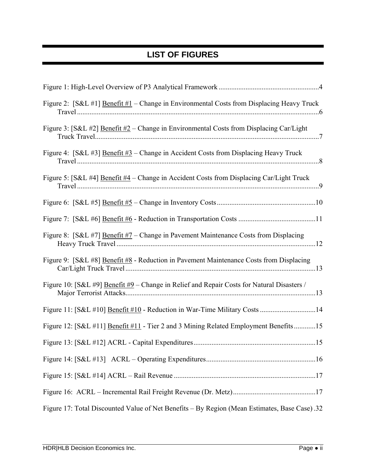## **LIST OF FIGURES**

| Figure 2: [S&L #1] Benefit #1 - Change in Environmental Costs from Displacing Heavy Truck     |
|-----------------------------------------------------------------------------------------------|
| Figure 3: [S&L #2] Benefit #2 – Change in Environmental Costs from Displacing Car/Light       |
| Figure 4: [S&L #3] Benefit #3 – Change in Accident Costs from Displacing Heavy Truck          |
| Figure 5: [S&L #4] Benefit #4 – Change in Accident Costs from Displacing Car/Light Truck      |
|                                                                                               |
|                                                                                               |
| Figure 8: [S&L #7] Benefit #7 – Change in Pavement Maintenance Costs from Displacing          |
| Figure 9: [S&L #8] Benefit #8 - Reduction in Pavement Maintenance Costs from Displacing       |
| Figure 10: [S&L #9] Benefit #9 – Change in Relief and Repair Costs for Natural Disasters /    |
| Figure 11: [S&L #10] Benefit #10 - Reduction in War-Time Military Costs 14                    |
| Figure 12: [S&L #11] Benefit #11 - Tier 2 and 3 Mining Related Employment Benefits15          |
|                                                                                               |
|                                                                                               |
|                                                                                               |
|                                                                                               |
| Figure 17: Total Discounted Value of Net Benefits - By Region (Mean Estimates, Base Case) .32 |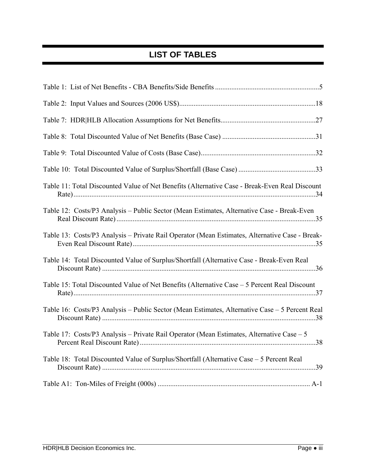## **LIST OF TABLES**

| Table 11: Total Discounted Value of Net Benefits (Alternative Case - Break-Even Real Discount  |
|------------------------------------------------------------------------------------------------|
| Table 12: Costs/P3 Analysis – Public Sector (Mean Estimates, Alternative Case - Break-Even     |
| Table 13: Costs/P3 Analysis - Private Rail Operator (Mean Estimates, Alternative Case - Break- |
| Table 14: Total Discounted Value of Surplus/Shortfall (Alternative Case - Break-Even Real      |
| Table 15: Total Discounted Value of Net Benefits (Alternative Case - 5 Percent Real Discount   |
| Table 16: Costs/P3 Analysis – Public Sector (Mean Estimates, Alternative Case – 5 Percent Real |
| Table 17: Costs/P3 Analysis - Private Rail Operator (Mean Estimates, Alternative Case - 5      |
| Table 18: Total Discounted Value of Surplus/Shortfall (Alternative Case - 5 Percent Real       |
|                                                                                                |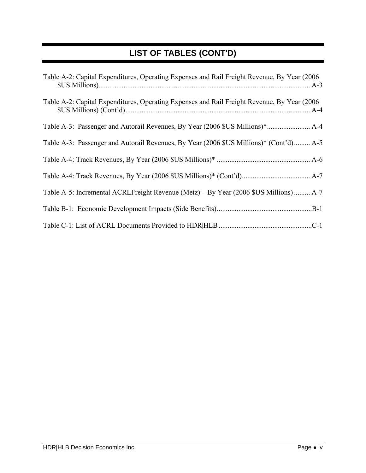## **LIST OF TABLES (CONT'D)**

| Table A-2: Capital Expenditures, Operating Expenses and Rail Freight Revenue, By Year (2006) |
|----------------------------------------------------------------------------------------------|
| Table A-2: Capital Expenditures, Operating Expenses and Rail Freight Revenue, By Year (2006) |
|                                                                                              |
| Table A-3: Passenger and Autorail Revenues, By Year (2006 \$US Millions)* (Cont'd) A-5       |
|                                                                                              |
|                                                                                              |
| Table A-5: Incremental ACRLFreight Revenue (Metz) – By Year (2006 \$US Millions)  A-7        |
|                                                                                              |
|                                                                                              |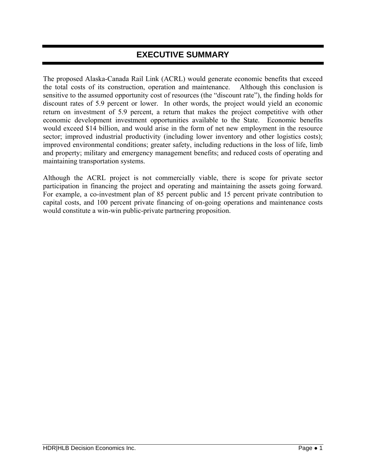### **EXECUTIVE SUMMARY**

The proposed Alaska-Canada Rail Link (ACRL) would generate economic benefits that exceed the total costs of its construction, operation and maintenance. Although this conclusion is sensitive to the assumed opportunity cost of resources (the "discount rate"), the finding holds for discount rates of 5.9 percent or lower. In other words, the project would yield an economic return on investment of 5.9 percent, a return that makes the project competitive with other economic development investment opportunities available to the State. Economic benefits would exceed \$14 billion, and would arise in the form of net new employment in the resource sector; improved industrial productivity (including lower inventory and other logistics costs); improved environmental conditions; greater safety, including reductions in the loss of life, limb and property; military and emergency management benefits; and reduced costs of operating and maintaining transportation systems.

Although the ACRL project is not commercially viable, there is scope for private sector participation in financing the project and operating and maintaining the assets going forward. For example, a co-investment plan of 85 percent public and 15 percent private contribution to capital costs, and 100 percent private financing of on-going operations and maintenance costs would constitute a win-win public-private partnering proposition.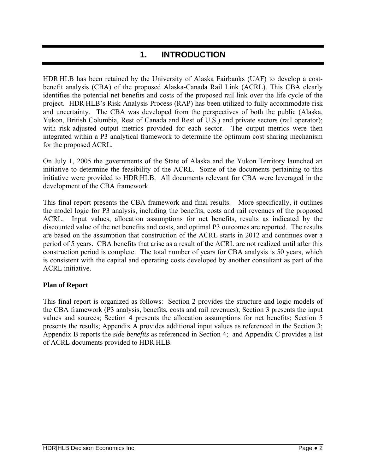## **1. INTRODUCTION**

HDR|HLB has been retained by the University of Alaska Fairbanks (UAF) to develop a costbenefit analysis (CBA) of the proposed Alaska-Canada Rail Link (ACRL). This CBA clearly identifies the potential net benefits and costs of the proposed rail link over the life cycle of the project. HDR|HLB's Risk Analysis Process (RAP) has been utilized to fully accommodate risk and uncertainty. The CBA was developed from the perspectives of both the public (Alaska, Yukon, British Columbia, Rest of Canada and Rest of U.S.) and private sectors (rail operator); with risk-adjusted output metrics provided for each sector. The output metrics were then integrated within a P3 analytical framework to determine the optimum cost sharing mechanism for the proposed ACRL.

On July 1, 2005 the governments of the State of Alaska and the Yukon Territory launched an initiative to determine the feasibility of the ACRL. Some of the documents pertaining to this initiative were provided to HDR|HLB. All documents relevant for CBA were leveraged in the development of the CBA framework.

This final report presents the CBA framework and final results. More specifically, it outlines the model logic for P3 analysis, including the benefits, costs and rail revenues of the proposed ACRL. Input values, allocation assumptions for net benefits, results as indicated by the discounted value of the net benefits and costs, and optimal P3 outcomes are reported. The results are based on the assumption that construction of the ACRL starts in 2012 and continues over a period of 5 years. CBA benefits that arise as a result of the ACRL are not realized until after this construction period is complete. The total number of years for CBA analysis is 50 years, which is consistent with the capital and operating costs developed by another consultant as part of the ACRL initiative.

#### **Plan of Report**

This final report is organized as follows: Section 2 provides the structure and logic models of the CBA framework (P3 analysis, benefits, costs and rail revenues); Section 3 presents the input values and sources; Section 4 presents the allocation assumptions for net benefits; Section 5 presents the results; Appendix A provides additional input values as referenced in the Section 3; Appendix B reports the *side benefits* as referenced in Section 4; and Appendix C provides a list of ACRL documents provided to HDR|HLB.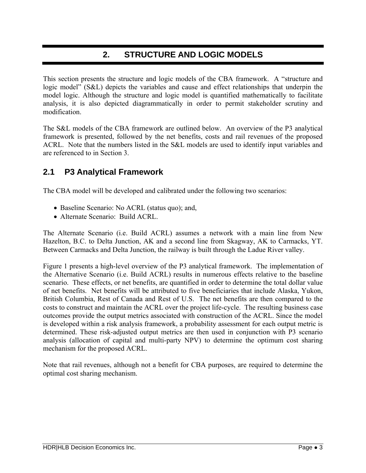### **2. STRUCTURE AND LOGIC MODELS**

This section presents the structure and logic models of the CBA framework. A "structure and logic model" (S&L) depicts the variables and cause and effect relationships that underpin the model logic. Although the structure and logic model is quantified mathematically to facilitate analysis, it is also depicted diagrammatically in order to permit stakeholder scrutiny and modification.

The S&L models of the CBA framework are outlined below. An overview of the P3 analytical framework is presented, followed by the net benefits, costs and rail revenues of the proposed ACRL. Note that the numbers listed in the S&L models are used to identify input variables and are referenced to in Section 3.

### **2.1 P3 Analytical Framework**

The CBA model will be developed and calibrated under the following two scenarios:

- Baseline Scenario: No ACRL (status quo); and,
- Alternate Scenario: Build ACRL.

The Alternate Scenario (i.e. Build ACRL) assumes a network with a main line from New Hazelton, B.C. to Delta Junction, AK and a second line from Skagway, AK to Carmacks, YT. Between Carmacks and Delta Junction, the railway is built through the Ladue River valley.

Figure 1 presents a high-level overview of the P3 analytical framework. The implementation of the Alternative Scenario (i.e. Build ACRL) results in numerous effects relative to the baseline scenario. These effects, or net benefits, are quantified in order to determine the total dollar value of net benefits. Net benefits will be attributed to five beneficiaries that include Alaska, Yukon, British Columbia, Rest of Canada and Rest of U.S. The net benefits are then compared to the costs to construct and maintain the ACRL over the project life-cycle. The resulting business case outcomes provide the output metrics associated with construction of the ACRL. Since the model is developed within a risk analysis framework, a probability assessment for each output metric is determined. These risk-adjusted output metrics are then used in conjunction with P3 scenario analysis (allocation of capital and multi-party NPV) to determine the optimum cost sharing mechanism for the proposed ACRL.

Note that rail revenues, although not a benefit for CBA purposes, are required to determine the optimal cost sharing mechanism.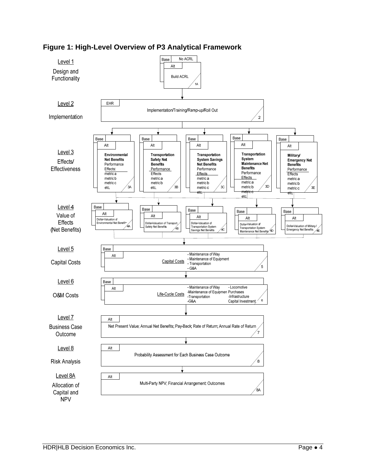

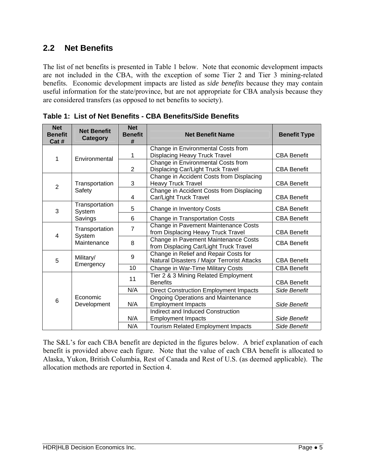### **2.2 Net Benefits**

The list of net benefits is presented in Table 1 below. Note that economic development impacts are not included in the CBA, with the exception of some Tier 2 and Tier 3 mining-related benefits. Economic development impacts are listed as *side benefits* because they may contain useful information for the state/province, but are not appropriate for CBA analysis because they are considered transfers (as opposed to net benefits to society).

| <b>Net</b><br><b>Benefit</b><br>Cat # | <b>Net Benefit</b><br><b>Category</b> | <b>Net</b><br><b>Benefit</b><br># | <b>Net Benefit Name</b>                       | <b>Benefit Type</b> |
|---------------------------------------|---------------------------------------|-----------------------------------|-----------------------------------------------|---------------------|
|                                       |                                       |                                   | Change in Environmental Costs from            |                     |
| 1                                     | Environmental                         | 1                                 | <b>Displacing Heavy Truck Travel</b>          | <b>CBA Benefit</b>  |
|                                       |                                       |                                   | Change in Environmental Costs from            |                     |
|                                       |                                       | $\overline{2}$                    | <b>Displacing Car/Light Truck Travel</b>      | <b>CBA Benefit</b>  |
|                                       |                                       |                                   | Change in Accident Costs from Displacing      |                     |
| $\overline{2}$                        | Transportation                        | 3                                 | <b>Heavy Truck Travel</b>                     | <b>CBA Benefit</b>  |
|                                       | Safety                                |                                   | Change in Accident Costs from Displacing      |                     |
|                                       |                                       | 4                                 | Car/Light Truck Travel                        | <b>CBA Benefit</b>  |
| Transportation<br>3<br>System         |                                       | 5                                 | Change in Inventory Costs                     | <b>CBA Benefit</b>  |
| Savings                               |                                       | 6                                 | Change in Transportation Costs                | <b>CBA Benefit</b>  |
| Transportation                        |                                       | $\overline{7}$                    | Change in Pavement Maintenance Costs          |                     |
| 4                                     | System<br>Maintenance                 |                                   | from Displacing Heavy Truck Travel            | <b>CBA Benefit</b>  |
|                                       |                                       | 8                                 | Change in Pavement Maintenance Costs          | <b>CBA Benefit</b>  |
|                                       |                                       |                                   | from Displacing Car/Light Truck Travel        |                     |
| Military/                             |                                       | 9                                 | Change in Relief and Repair Costs for         |                     |
| 5                                     | Emergency                             |                                   | Natural Disasters / Major Terrorist Attacks   | <b>CBA Benefit</b>  |
|                                       |                                       | 10                                | Change in War-Time Military Costs             | <b>CBA Benefit</b>  |
|                                       |                                       | 11                                | Tier 2 & 3 Mining Related Employment          |                     |
|                                       |                                       |                                   | <b>Benefits</b>                               | <b>CBA Benefit</b>  |
|                                       |                                       | N/A                               | <b>Direct Construction Employment Impacts</b> | Side Benefit        |
| 6                                     | Economic                              |                                   | <b>Ongoing Operations and Maintenance</b>     |                     |
|                                       | Development                           | N/A                               | <b>Employment Impacts</b>                     | Side Benefit        |
|                                       |                                       |                                   | <b>Indirect and Induced Construction</b>      |                     |
|                                       |                                       | N/A                               | <b>Employment Impacts</b>                     | Side Benefit        |
|                                       |                                       | N/A                               | <b>Tourism Related Employment Impacts</b>     | Side Benefit        |

**Table 1: List of Net Benefits - CBA Benefits/Side Benefits** 

The S&L's for each CBA benefit are depicted in the figures below. A brief explanation of each benefit is provided above each figure. Note that the value of each CBA benefit is allocated to Alaska, Yukon, British Columbia, Rest of Canada and Rest of U.S. (as deemed applicable). The allocation methods are reported in Section 4.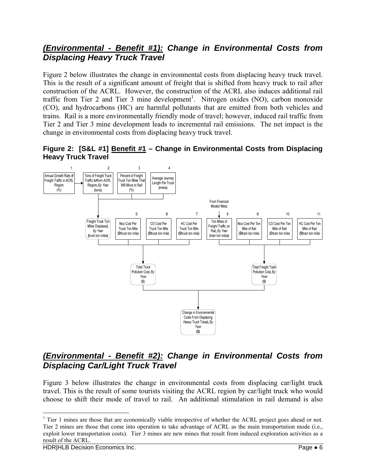### *(Environmental - Benefit #1): Change in Environmental Costs from Displacing Heavy Truck Travel*

Figure 2 below illustrates the change in environmental costs from displacing heavy truck travel. This is the result of a significant amount of freight that is shifted from heavy truck to rail after construction of the ACRL. However, the construction of the ACRL also induces additional rail traffic from Tier 2 and Tier 3 mine development<sup>1</sup>. Nitrogen oxides (NO), carbon monoxide (CO), and hydrocarbons (HC) are harmful pollutants that are emitted from both vehicles and trains. Rail is a more environmentally friendly mode of travel; however, induced rail traffic from Tier 2 and Tier 3 mine development leads to incremental rail emissions. The net impact is the change in environmental costs from displacing heavy truck travel.

**Figure 2: [S&L #1] Benefit #1 – Change in Environmental Costs from Displacing Heavy Truck Travel** 



### *(Environmental - Benefit #2): Change in Environmental Costs from Displacing Car/Light Truck Travel*

Figure 3 below illustrates the change in environmental costs from displacing car/light truck travel. This is the result of some tourists visiting the ACRL region by car/light truck who would choose to shift their mode of travel to rail. An additional stimulation in rail demand is also

 $\overline{a}$ 

 $1$  Tier 1 mines are those that are economically viable irrespective of whether the ACRL project goes ahead or not. Tier 2 mines are those that come into operation to take advantage of ACRL as the main transportation mode (i.e., exploit lower transportation costs). Tier 3 mines are new mines that result from induced exploration activities as a result of the ACRL.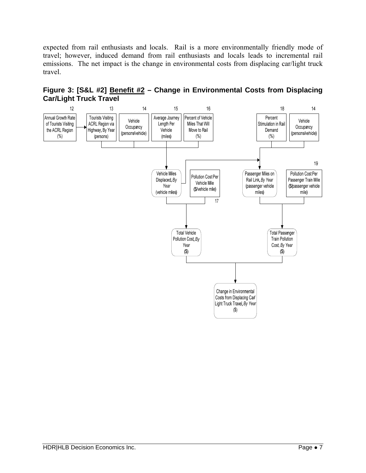expected from rail enthusiasts and locals. Rail is a more environmentally friendly mode of travel; however, induced demand from rail enthusiasts and locals leads to incremental rail emissions. The net impact is the change in environmental costs from displacing car/light truck travel.



**Figure 3: [S&L #2] Benefit #2 – Change in Environmental Costs from Displacing Car/Light Truck Travel**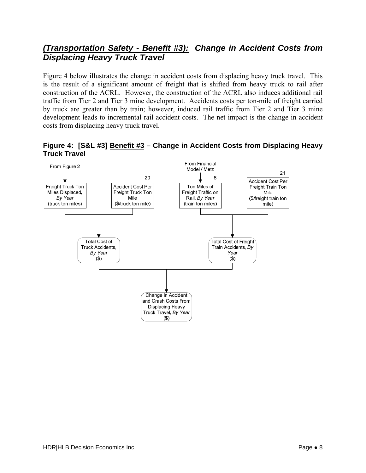### *(Transportation Safety - Benefit #3): Change in Accident Costs from Displacing Heavy Truck Travel*

Figure 4 below illustrates the change in accident costs from displacing heavy truck travel. This is the result of a significant amount of freight that is shifted from heavy truck to rail after construction of the ACRL. However, the construction of the ACRL also induces additional rail traffic from Tier 2 and Tier 3 mine development. Accidents costs per ton-mile of freight carried by truck are greater than by train; however, induced rail traffic from Tier 2 and Tier 3 mine development leads to incremental rail accident costs. The net impact is the change in accident costs from displacing heavy truck travel.

**Figure 4: [S&L #3] Benefit #3 – Change in Accident Costs from Displacing Heavy Truck Travel** 

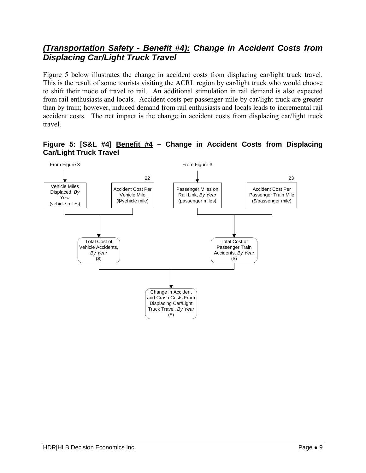### *(Transportation Safety - Benefit #4): Change in Accident Costs from Displacing Car/Light Truck Travel*

Figure 5 below illustrates the change in accident costs from displacing car/light truck travel. This is the result of some tourists visiting the ACRL region by car/light truck who would choose to shift their mode of travel to rail. An additional stimulation in rail demand is also expected from rail enthusiasts and locals. Accident costs per passenger-mile by car/light truck are greater than by train; however, induced demand from rail enthusiasts and locals leads to incremental rail accident costs. The net impact is the change in accident costs from displacing car/light truck travel.



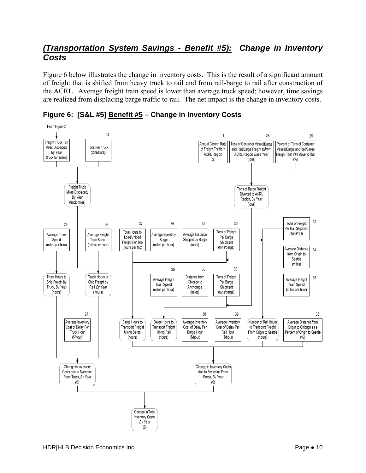### *(Transportation System Savings - Benefit #5): Change in Inventory Costs*

Figure 6 below illustrates the change in inventory costs. This is the result of a significant amount of freight that is shifted from heavy truck to rail and from rail-barge to rail after construction of the ACRL. Average freight train speed is lower than average truck speed; however, time savings are realized from displacing barge traffic to rail. The net impact is the change in inventory costs.



**Figure 6: [S&L #5] Benefit #5 – Change in Inventory Costs**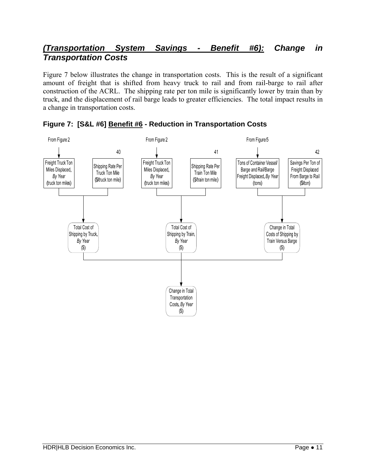### *(Transportation System Savings - Benefit #6): Change in Transportation Costs*

Figure 7 below illustrates the change in transportation costs. This is the result of a significant amount of freight that is shifted from heavy truck to rail and from rail-barge to rail after construction of the ACRL. The shipping rate per ton mile is significantly lower by train than by truck, and the displacement of rail barge leads to greater efficiencies. The total impact results in a change in transportation costs.



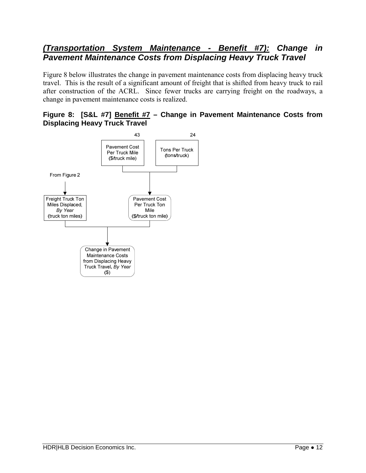### *(Transportation System Maintenance - Benefit #7): Change in Pavement Maintenance Costs from Displacing Heavy Truck Travel*

Figure 8 below illustrates the change in pavement maintenance costs from displacing heavy truck travel. This is the result of a significant amount of freight that is shifted from heavy truck to rail after construction of the ACRL. Since fewer trucks are carrying freight on the roadways, a change in pavement maintenance costs is realized.

#### **Figure 8: [S&L #7] Benefit #7 – Change in Pavement Maintenance Costs from Displacing Heavy Truck Travel**

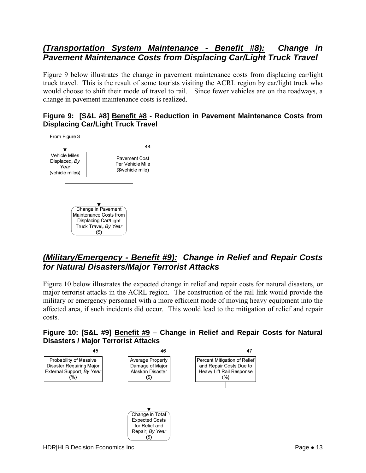### *(Transportation System Maintenance - Benefit #8): Change in Pavement Maintenance Costs from Displacing Car/Light Truck Travel*

Figure 9 below illustrates the change in pavement maintenance costs from displacing car/light truck travel. This is the result of some tourists visiting the ACRL region by car/light truck who would choose to shift their mode of travel to rail. Since fewer vehicles are on the roadways, a change in pavement maintenance costs is realized.

#### **Figure 9: [S&L #8] Benefit #8 - Reduction in Pavement Maintenance Costs from Displacing Car/Light Truck Travel**



### *(Military/Emergency - Benefit #9): Change in Relief and Repair Costs for Natural Disasters/Major Terrorist Attacks*

Figure 10 below illustrates the expected change in relief and repair costs for natural disasters, or major terrorist attacks in the ACRL region. The construction of the rail link would provide the military or emergency personnel with a more efficient mode of moving heavy equipment into the affected area, if such incidents did occur. This would lead to the mitigation of relief and repair costs.

#### **Figure 10: [S&L #9] Benefit #9 – Change in Relief and Repair Costs for Natural Disasters / Major Terrorist Attacks**

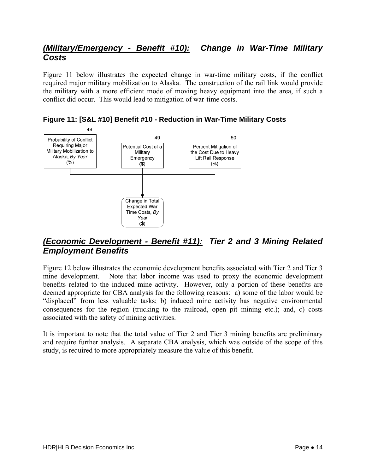### *(Military/Emergency - Benefit #10): Change in War-Time Military Costs*

Figure 11 below illustrates the expected change in war-time military costs, if the conflict required major military mobilization to Alaska. The construction of the rail link would provide the military with a more efficient mode of moving heavy equipment into the area, if such a conflict did occur. This would lead to mitigation of war-time costs.



**Figure 11: [S&L #10] Benefit #10 - Reduction in War-Time Military Costs** 

### *(Economic Development - Benefit #11): Tier 2 and 3 Mining Related Employment Benefits*

Figure 12 below illustrates the economic development benefits associated with Tier 2 and Tier 3 mine development. Note that labor income was used to proxy the economic development benefits related to the induced mine activity. However, only a portion of these benefits are deemed appropriate for CBA analysis for the following reasons: a) some of the labor would be "displaced" from less valuable tasks; b) induced mine activity has negative environmental consequences for the region (trucking to the railroad, open pit mining etc.); and, c) costs associated with the safety of mining activities.

It is important to note that the total value of Tier 2 and Tier 3 mining benefits are preliminary and require further analysis. A separate CBA analysis, which was outside of the scope of this study, is required to more appropriately measure the value of this benefit.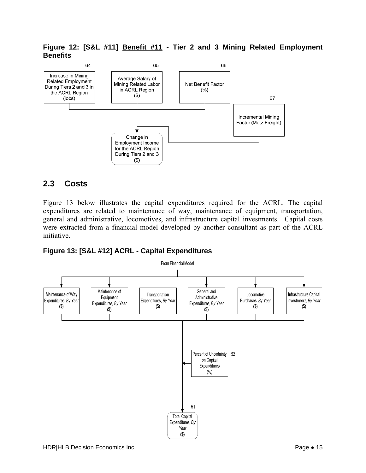**Figure 12: [S&L #11] Benefit #11 - Tier 2 and 3 Mining Related Employment Benefits** 



#### **2.3 Costs**

Figure 13 below illustrates the capital expenditures required for the ACRL. The capital expenditures are related to maintenance of way, maintenance of equipment, transportation, general and administrative, locomotives, and infrastructure capital investments. Capital costs were extracted from a financial model developed by another consultant as part of the ACRL initiative.



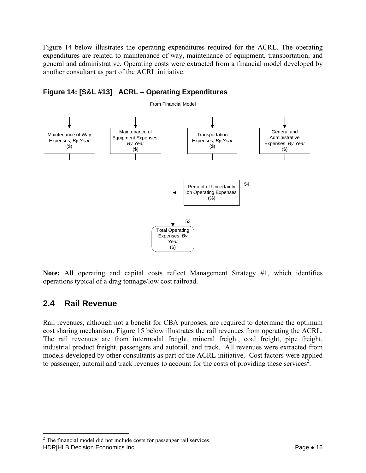Figure 14 below illustrates the operating expenditures required for the ACRL. The operating expenditures are related to maintenance of way, maintenance of equipment, transportation, and general and administrative. Operating costs were extracted from a financial model developed by another consultant as part of the ACRL initiative.



#### **Figure 14: [S&L #13] ACRL – Operating Expenditures**

**Note:** All operating and capital costs reflect Management Strategy #1, which identifies operations typical of a drag tonnage/low cost railroad.

#### **2.4 Rail Revenue**

Rail revenues, although not a benefit for CBA purposes, are required to determine the optimum cost sharing mechanism. Figure 15 below illustrates the rail revenues from operating the ACRL. The rail revenues are from intermodal freight, mineral freight, coal freight, pipe freight, industrial product freight, passengers and autorail, and track. All revenues were extracted from models developed by other consultants as part of the ACRL initiative. Cost factors were applied to passenger, autorail and track revenues to account for the costs of providing these services<sup>2</sup>.

HDR|HLB Decision Economics Inc. Page ● 16

1

 $2^2$  The financial model did not include costs for passenger rail services.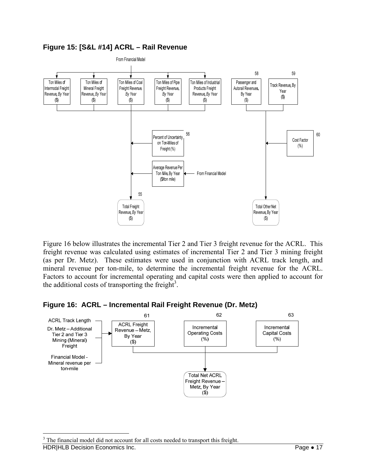#### **Figure 15: [S&L #14] ACRL – Rail Revenue**



Figure 16 below illustrates the incremental Tier 2 and Tier 3 freight revenue for the ACRL. This freight revenue was calculated using estimates of incremental Tier 2 and Tier 3 mining freight (as per Dr. Metz). These estimates were used in conjunction with ACRL track length, and mineral revenue per ton-mile, to determine the incremental freight revenue for the ACRL. Factors to account for incremental operating and capital costs were then applied to account for the additional costs of transporting the freight<sup>3</sup>.

#### **Figure 16: ACRL – Incremental Rail Freight Revenue (Dr. Metz)**



 $\overline{a}$ 

HDR|HLB Decision Economics Inc. Page ● 17 <sup>3</sup> The financial model did not account for all costs needed to transport this freight.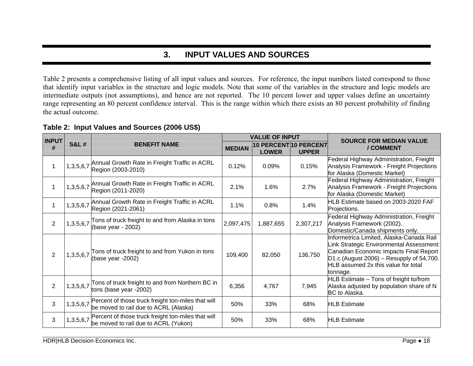## **3. INPUT VALUES AND SOURCES**

Table 2 presents a comprehensive listing of all input values and sources. For reference, the input numbers listed correspond to those that identify input variables in the structure and logic models. Note that some of the variables in the structure and logic models are intermediate outputs (not assumptions), and hence are not reported. The 10 percent lower and upper values define an uncertainty range representing an 80 percent confidence interval. This is the range within which there exists an 80 percent probability of finding the actual outcome.

| <b>INPUT</b>   |                 |                                                                                                       |               | <b>VALUE OF INPUT</b>                 |              | <b>SOURCE FOR MEDIAN VALUE</b>                                                                                                                                                                                                  |
|----------------|-----------------|-------------------------------------------------------------------------------------------------------|---------------|---------------------------------------|--------------|---------------------------------------------------------------------------------------------------------------------------------------------------------------------------------------------------------------------------------|
| #              | <b>S&amp;L#</b> | <b>BENEFIT NAME</b>                                                                                   | <b>MEDIAN</b> | 10 PERCENT 10 PERCENT<br><b>LOWER</b> | <b>UPPER</b> | / COMMENT                                                                                                                                                                                                                       |
| 1              |                 | 1,3,5,6,7 Annual Growth Rate in Freight Traffic in ACRL<br>Region (2003-2010)                         | 0.12%         | 0.09%                                 | 0.15%        | Federal Highway Administration, Freight<br>Analysis Framework - Freight Projections<br>for Alaska (Domestic Market)                                                                                                             |
| 1              | 1,3,5,6,7       | Annual Growth Rate in Freight Traffic in ACRL<br>Region (2011-2020)                                   | 2.1%          | 1.6%                                  | 2.7%         | Federal Highway Administration, Freight<br>Analysis Framework - Freight Projections<br>for Alaska (Domestic Market)                                                                                                             |
| 1              |                 | 1,3,5,6,7 Annual Growth Rate in Freight Traffic in ACRL<br>Region (2021-2061)                         | 1.1%          | 0.8%                                  | 1.4%         | HLB Estimate based on 2003-2020 FAF<br>Projections.                                                                                                                                                                             |
| 2              | 1,3,5,6,7       | Tons of truck freight to and from Alaska in tons<br>(base year - 2002)                                | 2,097,475     | 1,887,655                             | 2,307,217    | Federal Highway Administration, Freight<br>Analysis Framework (2002).<br>Domestic/Canada shipments only.                                                                                                                        |
| $\overline{2}$ | 1,3,5,6,7       | Tons of truck freight to and from Yukon in tons<br>(base year -2002)                                  | 109,400       | 82,050                                | 136,750      | Informetrica Limited, Alaska-Canada Rail<br>Link Strategic Environmental Assessment:<br>Canadian Economic Impacts Final Report<br>$D1.c$ (August 2006) – Resupply of 54,700.<br>HLB assumed 2x this value for total<br>tonnage. |
| $\overline{2}$ | 1,3,5,6,7       | Tons of truck freight to and from Northern BC in<br>tons (base year -2002)                            | 6,356         | 4,767                                 | 7,945        | HLB Estimate - Tons of freight to/from<br>Alaska adjusted by population share of N<br>BC to Alaska.                                                                                                                             |
| 3              |                 | 1,3,5,6,7 Percent of those truck freight ton-miles that will<br>be moved to rail due to ACRL (Alaska) | 50%           | 33%                                   | 68%          | <b>HLB</b> Estimate                                                                                                                                                                                                             |
| 3              |                 | 1,3,5,6,7 Percent of those truck freight ton-miles that will<br>be moved to rail due to ACRL (Yukon)  | 50%           | 33%                                   | 68%          | <b>HLB</b> Estimate                                                                                                                                                                                                             |

**Table 2: Input Values and Sources (2006 US\$)**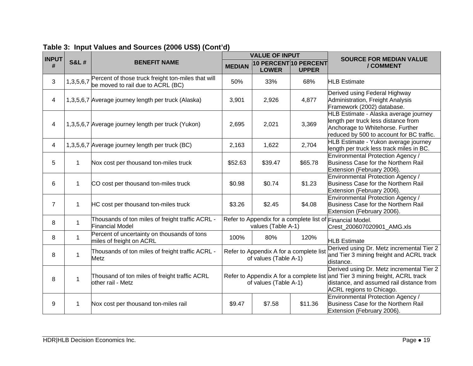| <b>INPUT</b>   |                 |                                                                                         |                                                                                                        | <b>VALUE OF INPUT</b> |                                       | <b>SOURCE FOR MEDIAN VALUE</b>                                                                                                                                |
|----------------|-----------------|-----------------------------------------------------------------------------------------|--------------------------------------------------------------------------------------------------------|-----------------------|---------------------------------------|---------------------------------------------------------------------------------------------------------------------------------------------------------------|
| #              | <b>S&amp;L#</b> | <b>BENEFIT NAME</b>                                                                     | <b>MEDIAN</b>                                                                                          | <b>LOWER</b>          | 10 PERCENT 10 PERCENT<br><b>UPPER</b> | / COMMENT                                                                                                                                                     |
| 3              | 1,3,5,6,7       | Percent of those truck freight ton-miles that will<br>be moved to rail due to ACRL (BC) | 50%                                                                                                    | 33%                   | 68%                                   | <b>HLB Estimate</b>                                                                                                                                           |
| 4              |                 | 1,3,5,6,7 Average journey length per truck (Alaska)                                     | 3,901                                                                                                  | 2,926                 | 4,877                                 | Derived using Federal Highway<br>Administration, Freight Analysis<br>Framework (2002) database.                                                               |
| 4              |                 | 1,3,5,6,7 Average journey length per truck (Yukon)                                      | 2,695                                                                                                  | 2,021                 | 3,369                                 | HLB Estimate - Alaska average journey<br>length per truck less distance from<br>Anchorage to Whitehorse. Further<br>reduced by 500 to account for BC traffic. |
| 4              |                 | 1,3,5,6,7 Average journey length per truck (BC)                                         | 2,163                                                                                                  | 1,622                 | 2,704                                 | HLB Estimate - Yukon average journey<br>length per truck less track miles in BC.                                                                              |
| 5              | 1               | Nox cost per thousand ton-miles truck                                                   | \$52.63                                                                                                | \$39.47               | \$65.78                               | Environmental Protection Agency /<br>Business Case for the Northern Rail<br>Extension (February 2006).                                                        |
| 6              | 1               | CO cost per thousand ton-miles truck                                                    | \$0.98                                                                                                 | \$0.74                | \$1.23                                | <b>Environmental Protection Agency /</b><br>Business Case for the Northern Rail<br>Extension (February 2006).                                                 |
| $\overline{7}$ | 1               | HC cost per thousand ton-miles truck                                                    | \$3.26                                                                                                 | \$2.45                | \$4.08                                | Environmental Protection Agency /<br>Business Case for the Northern Rail<br>Extension (February 2006).                                                        |
| 8              | 1               | Thousands of ton miles of freight traffic ACRL -<br><b>Financial Model</b>              | Refer to Appendix for a complete list of Financial Model.<br>values (Table A-1)                        |                       |                                       | Crest_200607020901_AMG.xls                                                                                                                                    |
| 8              | 1               | Percent of uncertainty on thousands of tons<br>miles of freight on ACRL                 | 100%                                                                                                   | 80%                   | 120%                                  | <b>HLB Estimate</b>                                                                                                                                           |
| 8              | 1               | Thousands of ton miles of freight traffic ACRL -<br>Metz                                | Refer to Appendix A for a complete list<br>of values (Table A-1)                                       |                       |                                       | Derived using Dr. Metz incremental Tier 2<br>and Tier 3 mining freight and ACRL track<br>distance.                                                            |
| 8              | 1               | Thousand of ton miles of freight traffic ACRL<br>other rail - Metz                      | Refer to Appendix A for a complete list and Tier 3 mining freight, ACRL track<br>of values (Table A-1) |                       |                                       | Derived using Dr. Metz incremental Tier 2<br>distance, and assumed rail distance from<br>ACRL regions to Chicago.                                             |
| 9              | 1               | Nox cost per thousand ton-miles rail                                                    | \$9.47                                                                                                 | \$7.58                | \$11.36                               | <b>Environmental Protection Agency /</b><br>Business Case for the Northern Rail<br>Extension (February 2006).                                                 |

## **Table 3: Input Values and Sources (2006 US\$) (Cont'd)**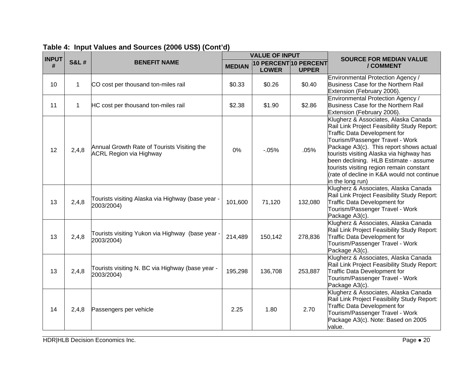| <b>INPUT</b> |                 |                                                                               |               | <b>VALUE OF INPUT</b>                 |              | <b>SOURCE FOR MEDIAN VALUE</b>                                                                                                                                                                                                                                                                                                                                                                       |  |
|--------------|-----------------|-------------------------------------------------------------------------------|---------------|---------------------------------------|--------------|------------------------------------------------------------------------------------------------------------------------------------------------------------------------------------------------------------------------------------------------------------------------------------------------------------------------------------------------------------------------------------------------------|--|
| #            | <b>S&amp;L#</b> | <b>BENEFIT NAME</b>                                                           | <b>MEDIAN</b> | 10 PERCENT 10 PERCENT<br><b>LOWER</b> | <b>UPPER</b> | / COMMENT                                                                                                                                                                                                                                                                                                                                                                                            |  |
| 10           | $\mathbf 1$     | CO cost per thousand ton-miles rail                                           | \$0.33        | \$0.26                                | \$0.40       | Environmental Protection Agency /<br>Business Case for the Northern Rail<br>Extension (February 2006).                                                                                                                                                                                                                                                                                               |  |
| 11           | 1               | HC cost per thousand ton-miles rail                                           | \$2.38        | \$1.90                                | \$2.86       | <b>Environmental Protection Agency /</b><br>Business Case for the Northern Rail<br>Extension (February 2006).                                                                                                                                                                                                                                                                                        |  |
| 12           | 2,4,8           | Annual Growth Rate of Tourists Visiting the<br><b>ACRL Region via Highway</b> | 0%            | $-0.05%$                              | .05%         | Klugherz & Associates, Alaska Canada<br>Rail Link Project Feasibility Study Report:<br>Traffic Data Development for<br>Tourism/Passenger Travel - Work<br>Package A3(c). This report shows actual<br>tourists visiting Alaska via highway has<br>been declining. HLB Estimate - assume<br>tourists visiting region remain constant<br>(rate of decline in K&A would not continue<br>in the long run) |  |
| 13           | 2,4,8           | Tourists visiting Alaska via Highway (base year -<br>2003/2004)               | 101,600       | 71,120                                | 132,080      | Klugherz & Associates, Alaska Canada<br>Rail Link Project Feasibility Study Report:<br>Traffic Data Development for<br>Tourism/Passenger Travel - Work<br>Package A3(c).                                                                                                                                                                                                                             |  |
| 13           | 2,4,8           | Tourists visiting Yukon via Highway (base year -<br>2003/2004)                | 214,489       | 150,142                               | 278,836      | Klugherz & Associates, Alaska Canada<br>Rail Link Project Feasibility Study Report:<br>Traffic Data Development for<br>Tourism/Passenger Travel - Work<br>Package A3(c).                                                                                                                                                                                                                             |  |
| 13           | 2,4,8           | Tourists visiting N. BC via Highway (base year -<br>2003/2004)                | 195,298       | 136,708                               | 253,887      | Klugherz & Associates, Alaska Canada<br>Rail Link Project Feasibility Study Report:<br>Traffic Data Development for<br>Tourism/Passenger Travel - Work<br>Package A3(c).                                                                                                                                                                                                                             |  |
| 14           | 2,4,8           | Passengers per vehicle                                                        | 2.25          | 1.80                                  | 2.70         | Klugherz & Associates, Alaska Canada<br>Rail Link Project Feasibility Study Report:<br>Traffic Data Development for<br>Tourism/Passenger Travel - Work<br>Package A3(c). Note: Based on 2005<br>value.                                                                                                                                                                                               |  |

## **Table 4: Input Values and Sources (2006 US\$) (Cont'd)**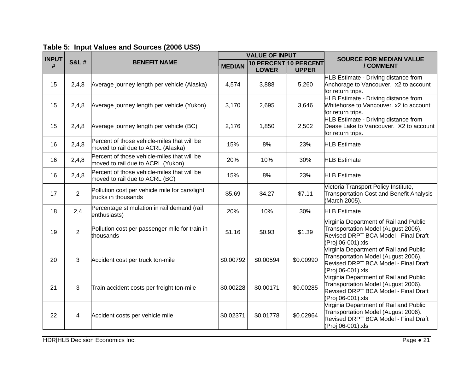| <b>INPUT</b> |                 | <b>VALUE OF INPUT</b>                                                             |               |                                       | <b>SOURCE FOR MEDIAN VALUE</b> |                                                                                                                                            |
|--------------|-----------------|-----------------------------------------------------------------------------------|---------------|---------------------------------------|--------------------------------|--------------------------------------------------------------------------------------------------------------------------------------------|
| #            | <b>S&amp;L#</b> | <b>BENEFIT NAME</b>                                                               | <b>MEDIAN</b> | 10 PERCENT 10 PERCENT<br><b>LOWER</b> | <b>UPPER</b>                   | / COMMENT                                                                                                                                  |
| 15           | 2,4,8           | Average journey length per vehicle (Alaska)                                       | 4,574         | 3,888                                 | 5,260                          | HLB Estimate - Driving distance from<br>Anchorage to Vancouver. x2 to account<br>for return trips.                                         |
| 15           | 2,4,8           | Average journey length per vehicle (Yukon)                                        | 3,170         | 2,695                                 | 3,646                          | <b>HLB Estimate - Driving distance from</b><br>Whitehorse to Vancouver. x2 to account<br>for return trips.                                 |
| 15           | 2,4,8           | Average journey length per vehicle (BC)                                           | 2,176         | 1,850                                 | 2,502                          | <b>HLB Estimate - Driving distance from</b><br>Dease Lake to Vancouver. X2 to account<br>for return trips.                                 |
| 16           | 2,4,8           | Percent of those vehicle-miles that will be<br>moved to rail due to ACRL (Alaska) | 15%           | 8%                                    | 23%                            | <b>HLB Estimate</b>                                                                                                                        |
| 16           | 2,4,8           | Percent of those vehicle-miles that will be<br>moved to rail due to ACRL (Yukon)  | 20%           | 10%                                   | 30%                            | <b>HLB</b> Estimate                                                                                                                        |
| 16           | 2,4,8           | Percent of those vehicle-miles that will be<br>moved to rail due to ACRL (BC)     | 15%           | 8%                                    | 23%                            | <b>HLB Estimate</b>                                                                                                                        |
| 17           | $\overline{2}$  | Pollution cost per vehicle mile for cars/light<br>trucks in thousands             | \$5.69        | \$4.27                                | \$7.11                         | Victoria Transport Policy Institute,<br>Transportation Cost and Benefit Analysis<br>(March 2005).                                          |
| 18           | 2,4             | Percentage stimulation in rail demand (rail<br>enthusiasts)                       | 20%           | 10%                                   | 30%                            | <b>HLB Estimate</b>                                                                                                                        |
| 19           | $\overline{2}$  | Pollution cost per passenger mile for train in<br>thousands                       | \$1.16        | \$0.93                                | \$1.39                         | Virginia Department of Rail and Public<br>Transportation Model (August 2006).<br>Revised DRPT BCA Model - Final Draft<br>(Proj 06-001).xls |
| 20           | 3               | Accident cost per truck ton-mile                                                  | \$0.00792     | \$0.00594                             | \$0.00990                      | Virginia Department of Rail and Public<br>Transportation Model (August 2006).<br>Revised DRPT BCA Model - Final Draft<br>(Proj 06-001).xls |
| 21           | 3               | Train accident costs per freight ton-mile                                         | \$0.00228     | \$0.00171                             | \$0.00285                      | Virginia Department of Rail and Public<br>Transportation Model (August 2006).<br>Revised DRPT BCA Model - Final Draft<br>(Proj 06-001).xls |
| 22           | 4               | Accident costs per vehicle mile                                                   | \$0.02371     | \$0.01778                             | \$0.02964                      | Virginia Department of Rail and Public<br>Transportation Model (August 2006).<br>Revised DRPT BCA Model - Final Draft<br>(Proj 06-001).xls |

### **Table 5: Input Values and Sources (2006 US\$)**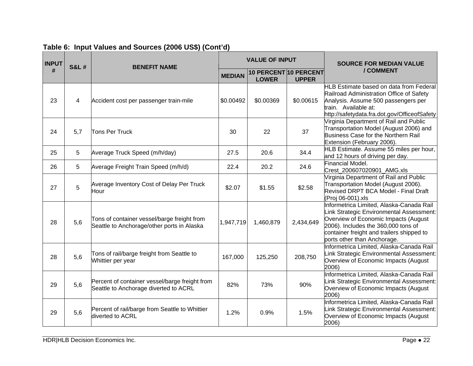| <b>INPUT</b> | <b>S&amp;L#</b> | <b>BENEFIT NAME</b>                                                                       |               | <b>VALUE OF INPUT</b>                 |              | <b>SOURCE FOR MEDIAN VALUE</b>                                                                                                                                                                                                                  |
|--------------|-----------------|-------------------------------------------------------------------------------------------|---------------|---------------------------------------|--------------|-------------------------------------------------------------------------------------------------------------------------------------------------------------------------------------------------------------------------------------------------|
| #            |                 |                                                                                           | <b>MEDIAN</b> | 10 PERCENT 10 PERCENT<br><b>LOWER</b> | <b>UPPER</b> | / COMMENT                                                                                                                                                                                                                                       |
| 23           | 4               | Accident cost per passenger train-mile                                                    | \$0.00492     | \$0.00369                             | \$0.00615    | HLB Estimate based on data from Federal<br>Railroad Administration Office of Safety<br>Analysis. Assume 500 passengers per<br>train. Available at:<br>http://safetydata.fra.dot.gov/OfficeofSafety                                              |
| 24           | 5,7             | Tons Per Truck                                                                            | 30            | 22                                    | 37           | Virginia Department of Rail and Public<br>Transportation Model (August 2006) and<br>Business Case for the Northern Rail<br>Extension (February 2006).                                                                                           |
| 25           | 5               | Average Truck Speed (m/h/day)                                                             | 27.5          | 20.6                                  | 34.4         | HLB Estimate. Assume 55 miles per hour,<br>and 12 hours of driving per day.                                                                                                                                                                     |
| 26           | 5               | Average Freight Train Speed (m/h/d)                                                       | 22.4          | 20.2                                  | 24.6         | Financial Model.<br>Crest_200607020901_AMG.xls                                                                                                                                                                                                  |
| 27           | 5               | Average Inventory Cost of Delay Per Truck<br>Hour                                         | \$2.07        | \$1.55                                | \$2.58       | Virginia Department of Rail and Public<br>Transportation Model (August 2006).<br>Revised DRPT BCA Model - Final Draft<br>(Proj 06-001).xls                                                                                                      |
| 28           | 5,6             | Tons of container vessel/barge freight from<br>Seattle to Anchorage/other ports in Alaska | 1,947,719     | 1,460,879                             | 2,434,649    | Informetrica Limited, Alaska-Canada Rail<br>Link Strategic Environmental Assessment:<br>Overview of Economic Impacts (August<br>2006). Includes the 360,000 tons of<br>container freight and trailers shipped to<br>ports other than Anchorage. |
| 28           | 5,6             | Tons of rail/barge freight from Seattle to<br>Whittier per year                           | 167,000       | 125,250                               | 208,750      | Informetrica Limited, Alaska-Canada Rail<br>Link Strategic Environmental Assessment:<br>Overview of Economic Impacts (August<br>2006)                                                                                                           |
| 29           | 5,6             | Percent of container vessel/barge freight from<br>Seattle to Anchorage diverted to ACRL   | 82%           | 73%                                   | 90%          | Informetrica Limited, Alaska-Canada Rail<br>Link Strategic Environmental Assessment:<br>Overview of Economic Impacts (August<br>2006)                                                                                                           |
| 29           | 5,6             | Percent of rail/barge from Seattle to Whittier<br>diverted to ACRL                        | 1.2%          | 0.9%                                  | 1.5%         | Informetrica Limited, Alaska-Canada Rail<br>Link Strategic Environmental Assessment:<br>Overview of Economic Impacts (August<br>2006)                                                                                                           |

### **Table 6: Input Values and Sources (2006 US\$) (Cont'd)**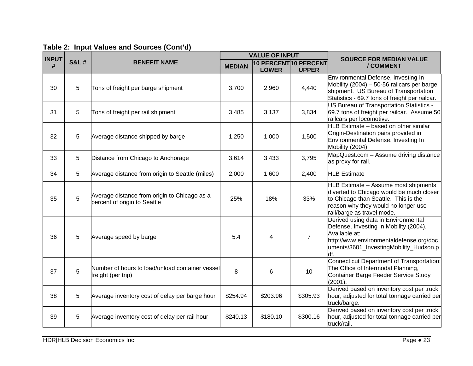| Table 2: Input Values and Sources (Cont'd) |  |  |  |  |
|--------------------------------------------|--|--|--|--|
|--------------------------------------------|--|--|--|--|

| <b>INPUT</b> |                 |                                                                              | <b>VALUE OF INPUT</b> |                                       |                | <b>SOURCE FOR MEDIAN VALUE</b>                                                                                                                                                                |  |
|--------------|-----------------|------------------------------------------------------------------------------|-----------------------|---------------------------------------|----------------|-----------------------------------------------------------------------------------------------------------------------------------------------------------------------------------------------|--|
| #            | <b>S&amp;L#</b> | <b>BENEFIT NAME</b>                                                          | <b>MEDIAN</b>         | 10 PERCENT 10 PERCENT<br><b>LOWER</b> | <b>UPPER</b>   | / COMMENT                                                                                                                                                                                     |  |
| 30           | 5               | Tons of freight per barge shipment                                           | 3,700                 | 2,960                                 | 4,440          | Environmental Defense, Investing In<br>Mobility $(2004) - 50-56$ railcars per barge<br>shipment. US Bureau of Transportation<br>Statistics - 69.7 tons of freight per railcar.                |  |
| 31           | 5               | Tons of freight per rail shipment                                            | 3,485                 | 3,137                                 | 3,834          | US Bureau of Transportation Statistics -<br>69.7 tons of freight per railcar. Assume 50<br>railcars per locomotive.                                                                           |  |
| 32           | 5               | Average distance shipped by barge                                            | 1,250                 | 1,000                                 | 1,500          | HLB Estimate - based on other similar<br>Origin-Destination pairs provided in<br>Environmental Defense, Investing In<br>Mobility (2004)                                                       |  |
| 33           | 5               | Distance from Chicago to Anchorage                                           | 3,614                 | 3,433                                 | 3,795          | MapQuest.com - Assume driving distance<br>as proxy for rail.                                                                                                                                  |  |
| 34           | $5\phantom{.0}$ | Average distance from origin to Seattle (miles)                              | 2,000                 | 1,600                                 | 2,400          | <b>HLB</b> Estimate                                                                                                                                                                           |  |
| 35           | 5               | Average distance from origin to Chicago as a<br>percent of origin to Seattle | 25%                   | 18%                                   | 33%            | HLB Estimate - Assume most shipments<br>diverted to Chicago would be much closer<br>to Chicago than Seattle. This is the<br>reason why they would no longer use<br>rail/barge as travel mode. |  |
| 36           | 5               | Average speed by barge                                                       | 5.4                   | 4                                     | $\overline{7}$ | Derived using data in Environmental<br>Defense, Investing In Mobility (2004).<br>Available at:<br>http://www.environmentaldefense.org/doc<br>uments/3601_InvestingMobility_Hudson.p<br>df.    |  |
| 37           | 5               | Number of hours to load/unload container vessel<br>freight (per trip)        | 8                     | 6                                     | 10             | Connecticut Department of Transportation:<br>The Office of Intermodal Planning,<br>Container Barge Feeder Service Study<br>(2001).                                                            |  |
| 38           | 5               | Average inventory cost of delay per barge hour                               | \$254.94              | \$203.96                              | \$305.93       | Derived based on inventory cost per truck<br>hour, adjusted for total tonnage carried per<br>truck/barge.                                                                                     |  |
| 39           | 5               | Average inventory cost of delay per rail hour                                | \$240.13              | \$180.10                              | \$300.16       | Derived based on inventory cost per truck<br>hour, adjusted for total tonnage carried per<br>truck/rail.                                                                                      |  |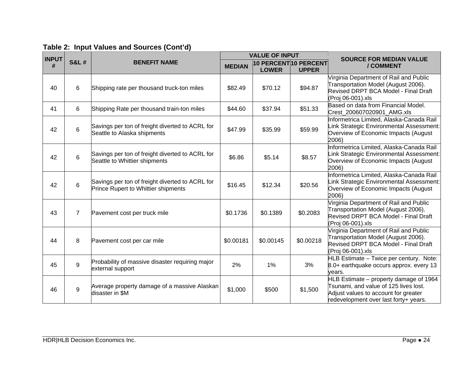| <b>INPUT</b> |                 |                                                                                        | <b>VALUE OF INPUT</b> |                                      |              | <b>SOURCE FOR MEDIAN VALUE</b>                                                                                                                                   |
|--------------|-----------------|----------------------------------------------------------------------------------------|-----------------------|--------------------------------------|--------------|------------------------------------------------------------------------------------------------------------------------------------------------------------------|
| #            | <b>S&amp;L#</b> | <b>BENEFIT NAME</b>                                                                    | <b>MEDIAN</b>         | 10 PERCENT10 PERCENT<br><b>LOWER</b> | <b>UPPER</b> | / COMMENT                                                                                                                                                        |
| 40           | 6               | Shipping rate per thousand truck-ton miles                                             | \$82.49               | \$70.12                              | \$94.87      | Virginia Department of Rail and Public<br>Transportation Model (August 2006).<br>Revised DRPT BCA Model - Final Draft<br>(Proj 06-001).xls                       |
| 41           | 6               | Shipping Rate per thousand train-ton miles                                             | \$44.60               | \$37.94                              | \$51.33      | Based on data from Financial Model.<br>Crest_200607020901_AMG.xls                                                                                                |
| 42           | 6               | Savings per ton of freight diverted to ACRL for<br>Seattle to Alaska shipments         | \$47.99               | \$35.99                              | \$59.99      | Informetrica Limited, Alaska-Canada Rail<br>Link Strategic Environmental Assessment:<br>Overview of Economic Impacts (August<br>2006)                            |
| 42           | 6               | Savings per ton of freight diverted to ACRL for<br>Seattle to Whittier shipments       | \$6.86                | \$5.14                               | \$8.57       | Informetrica Limited, Alaska-Canada Rail<br>Link Strategic Environmental Assessment:<br>Overview of Economic Impacts (August<br>2006)                            |
| 42           | $6\phantom{a}$  | Savings per ton of freight diverted to ACRL for<br>Prince Rupert to Whittier shipments | \$16.45               | \$12.34                              | \$20.56      | Informetrica Limited, Alaska-Canada Rail<br>Link Strategic Environmental Assessment:<br>Overview of Economic Impacts (August<br>2006)                            |
| 43           | $\overline{7}$  | Pavement cost per truck mile                                                           | \$0.1736              | \$0.1389                             | \$0.2083     | Virginia Department of Rail and Public<br>Transportation Model (August 2006).<br>Revised DRPT BCA Model - Final Draft<br>(Proj 06-001).xls                       |
| 44           | 8               | Pavement cost per car mile                                                             | \$0.00181             | \$0.00145                            | \$0.00218    | Virginia Department of Rail and Public<br>Transportation Model (August 2006).<br>Revised DRPT BCA Model - Final Draft<br>(Proj 06-001).xls                       |
| 45           | 9               | Probability of massive disaster requiring major<br>external support                    | 2%                    | 1%                                   | 3%           | HLB Estimate - Twice per century. Note:<br>8.0+ earthquake occurs approx. every 13<br>years.                                                                     |
| 46           | 9               | Average property damage of a massive Alaskan<br>disaster in \$M                        | \$1,000               | \$500                                | \$1,500      | HLB Estimate – property damage of 1964<br>Tsunami, and value of 125 lives lost.<br>Adjust values to account for greater<br>redevelopment over last forty+ years. |

|  |  |  |  | Table 2: Input Values and Sources (Cont'd) |  |
|--|--|--|--|--------------------------------------------|--|
|--|--|--|--|--------------------------------------------|--|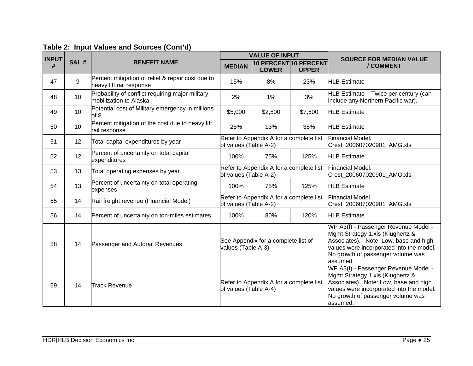| <b>INPUT</b> |                 |                                                                               | <b>VALUE OF INPUT</b> |                                                           |              | <b>SOURCE FOR MEDIAN VALUE</b>                                                                                                                                                                                 |
|--------------|-----------------|-------------------------------------------------------------------------------|-----------------------|-----------------------------------------------------------|--------------|----------------------------------------------------------------------------------------------------------------------------------------------------------------------------------------------------------------|
| #            | <b>S&amp;L#</b> | <b>BENEFIT NAME</b>                                                           | <b>MEDIAN</b>         | 10 PERCENT 10 PERCENT<br><b>LOWER</b>                     | <b>UPPER</b> | / COMMENT                                                                                                                                                                                                      |
| 47           | 9               | Percent mitigation of relief & repair cost due to<br>heavy lift rail response | 15%                   | 8%                                                        | 23%          | <b>HLB</b> Estimate                                                                                                                                                                                            |
| 48           | 10              | Probability of conflict requiring major military<br>mobilization to Alaska    | 2%                    | 1%                                                        | 3%           | HLB Estimate - Twice per century (can<br>include any Northern Pacific war).                                                                                                                                    |
| 49           | 10              | Potential cost of Military emergency in millions<br>of \$                     | \$5,000               | \$2,500                                                   | \$7,500      | <b>HLB</b> Estimate                                                                                                                                                                                            |
| 50           | 10              | Percent mitigation of the cost due to heavy lift<br>rail response             | 25%                   | 13%                                                       | 38%          | <b>HLB</b> Estimate                                                                                                                                                                                            |
| 51           | 12              | Total capital expenditures by year                                            | of values (Table A-2) | Refer to Appendix A for a complete list                   |              | Financial Model.<br>Crest_200607020901_AMG.xls                                                                                                                                                                 |
| 52           | 12              | Percent of uncertainty on total capital<br>expenditures                       | 100%                  | 75%                                                       | 125%         | <b>HLB</b> Estimate                                                                                                                                                                                            |
| 53           | 13              | Total operating expenses by year                                              | of values (Table A-2) | Refer to Appendix A for a complete list                   |              | Financial Model.<br>Crest_200607020901_AMG.xls                                                                                                                                                                 |
| 54           | 13              | Percent of uncertainty on total operating<br>expenses                         | 100%                  | 75%                                                       | 125%         | <b>HLB</b> Estimate                                                                                                                                                                                            |
| 55           | 14              | Rail freight revenue (Financial Model)                                        | of values (Table A-2) | Refer to Appendix A for a complete list                   |              | Financial Model.<br>Crest 200607020901 AMG.xls                                                                                                                                                                 |
| 56           | 14              | Percent of uncertainty on ton-miles estimates                                 | 100%                  | 80%                                                       | 120%         | <b>HLB</b> Estimate                                                                                                                                                                                            |
| 58           | 14              | Passenger and Autorail Revenues                                               |                       | See Appendix for a complete list of<br>values (Table A-3) |              | WP A3(f) - Passenger Revenue Model -<br>Mgmt Strategy 1.xls (Klughertz &<br>Associates). Note: Low, base and high<br>values were incorporated into the model.<br>No growth of passenger volume was<br>assumed. |
| 59           | 14              | <b>Track Revenue</b>                                                          | of values (Table A-4) | Refer to Appendix A for a complete list                   |              | WP A3(f) - Passenger Revenue Model -<br>Mgmt Strategy 1.xls (Klughertz &<br>Associates). Note: Low, base and high<br>values were incorporated into the model.<br>No growth of passenger volume was<br>assumed. |

## **Table 2: Input Values and Sources (Cont'd)**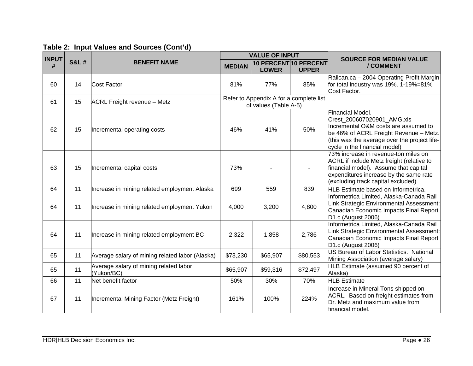| <b>INPUT</b> |                 |                                                      |               | <b>VALUE OF INPUT</b>                                            |              | <b>SOURCE FOR MEDIAN VALUE</b>                                                                                                                                                                                           |
|--------------|-----------------|------------------------------------------------------|---------------|------------------------------------------------------------------|--------------|--------------------------------------------------------------------------------------------------------------------------------------------------------------------------------------------------------------------------|
| #            | <b>S&amp;L#</b> | <b>BENEFIT NAME</b>                                  | <b>MEDIAN</b> | 10 PERCENT 10 PERCENT<br><b>LOWER</b>                            | <b>UPPER</b> | / COMMENT                                                                                                                                                                                                                |
| 60           | 14              | <b>Cost Factor</b>                                   | 81%           | 77%                                                              | 85%          | Railcan.ca - 2004 Operating Profit Margin<br>for total industry was 19%. 1-19%=81%<br>Cost Factor.                                                                                                                       |
| 61           | 15              | <b>ACRL Freight revenue - Metz</b>                   |               | Refer to Appendix A for a complete list<br>of values (Table A-5) |              |                                                                                                                                                                                                                          |
| 62           | 15              | Incremental operating costs                          | 46%           | 41%                                                              | 50%          | <b>Financial Model.</b><br>Crest_200607020901_AMG.xls<br>Incremental O&M costs are assumed to<br>be 46% of ACRL Freight Revenue - Metz.<br>(this was the average over the project life-<br>cycle in the financial model) |
| 63           | 15              | Incremental capital costs                            | 73%           |                                                                  |              | 73% increase in revenue-ton miles on<br><b>ACRL</b> if include Metz freight (relative to<br>financial model). Assume that capital<br>expenditures increase by the same rate<br>(excluding track capital excluded).       |
| 64           | 11              | Increase in mining related employment Alaska         | 699           | 559                                                              | 839          | HLB Estimate based on Informetrica.                                                                                                                                                                                      |
| 64           | 11              | Increase in mining related employment Yukon          | 4,000         | 3,200                                                            | 4,800        | Informetrica Limited, Alaska-Canada Rail<br>Link Strategic Environmental Assessment:<br>Canadian Economic Impacts Final Report<br>D1.c (August 2006)                                                                     |
| 64           | 11              | Increase in mining related employment BC             | 2,322         | 1,858                                                            | 2,786        | Informetrica Limited, Alaska-Canada Rail<br>Link Strategic Environmental Assessment:<br>Canadian Economic Impacts Final Report<br>D1.c (August 2006)                                                                     |
| 65           | 11              | Average salary of mining related labor (Alaska)      | \$73,230      | \$65,907                                                         | \$80,553     | <b>US Bureau of Labor Statistics. National</b><br>Mining Association (average salary)                                                                                                                                    |
| 65           | 11              | Average salary of mining related labor<br>(Yukon/BC) | \$65,907      | \$59,316                                                         | \$72,497     | HLB Estimate (assumed 90 percent of<br>Alaska)                                                                                                                                                                           |
| 66           | 11              | Net benefit factor                                   | 50%           | 30%                                                              | 70%          | <b>HLB</b> Estimate                                                                                                                                                                                                      |
| 67           | 11              | Incremental Mining Factor (Metz Freight)             | 161%          | 100%                                                             | 224%         | Increase in Mineral Tons shipped on<br>ACRL. Based on freight estimates from<br>Dr. Metz and maximum value from<br>financial model.                                                                                      |

## **Table 2: Input Values and Sources (Cont'd)**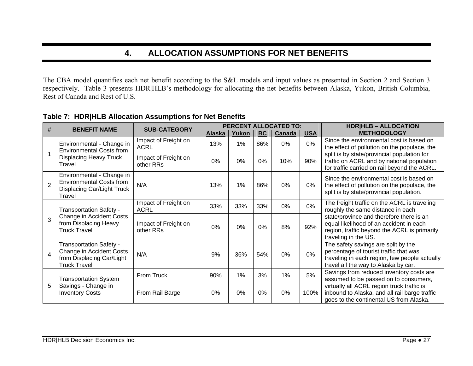## **4. ALLOCATION ASSUMPTIONS FOR NET BENEFITS**

The CBA model quantifies each net benefit according to the S&L models and input values as presented in Section 2 and Section 3 respectively. Table 3 presents HDR|HLB's methodology for allocating the net benefits between Alaska, Yukon, British Columbia, Rest of Canada and Rest of U.S.

| #              | <b>BENEFIT NAME</b>                                                                                            | <b>SUB-CATEGORY</b>                 | <b>PERCENT ALLOCATED TO:</b> |       |           |        | <b>HDR HLB - ALLOCATION</b> |                                                                                                                                                                        |
|----------------|----------------------------------------------------------------------------------------------------------------|-------------------------------------|------------------------------|-------|-----------|--------|-----------------------------|------------------------------------------------------------------------------------------------------------------------------------------------------------------------|
|                |                                                                                                                |                                     | Alaska                       | Yukon | <b>BC</b> | Canada | <b>USA</b>                  | <b>METHODOLOGY</b>                                                                                                                                                     |
|                | Environmental - Change in<br><b>Environmental Costs from</b>                                                   | Impact of Freight on<br><b>ACRL</b> | 13%                          | 1%    | 86%       | $0\%$  | 0%                          | Since the environmental cost is based on<br>the effect of pollution on the populace, the                                                                               |
| 1              | <b>Displacing Heavy Truck</b><br>Travel                                                                        | Impact of Freight on<br>other RRs   | 0%                           | $0\%$ | 0%        | 10%    | 90%                         | split is by state/provincial population for<br>traffic on ACRL and by national population<br>for traffic carried on rail beyond the ACRL.                              |
| $\overline{2}$ | Environmental - Change in<br><b>Environmental Costs from</b><br>Displacing Car/Light Truck<br>Travel           | N/A                                 | 13%                          | 1%    | 86%       | $0\%$  | 0%                          | Since the environmental cost is based on<br>the effect of pollution on the populace, the<br>split is by state/provincial population.                                   |
|                | <b>Transportation Safety -</b>                                                                                 | Impact of Freight on<br><b>ACRL</b> | 33%                          | 33%   | 33%       | 0%     | $0\%$                       | The freight traffic on the ACRL is traveling<br>roughly the same distance in each                                                                                      |
| 3              | Change in Accident Costs<br>from Displacing Heavy<br><b>Truck Travel</b>                                       | Impact of Freight on<br>other RRs   | 0%                           | 0%    | 0%        | 8%     | 92%                         | state/province and therefore there is an<br>equal likelihood of an accident in each<br>region, traffic beyond the ACRL is primarily<br>traveling in the US.            |
| $\overline{4}$ | <b>Transportation Safety -</b><br>Change in Accident Costs<br>from Displacing Car/Light<br><b>Truck Travel</b> | N/A                                 | 9%                           | 36%   | 54%       | 0%     | 0%                          | The safety savings are split by the<br>percentage of tourist traffic that was<br>traveling in each region, few people actually<br>travel all the way to Alaska by car. |
|                | <b>Transportation System</b>                                                                                   | From Truck                          | 90%                          | 1%    | 3%        | 1%     | 5%                          | Savings from reduced inventory costs are<br>assumed to be passed on to consumers,                                                                                      |
| 5              | Savings - Change in<br><b>Inventory Costs</b>                                                                  | From Rail Barge                     | 0%                           | 0%    | 0%        | 0%     | 100%                        | virtually all ACRL region truck traffic is<br>inbound to Alaska, and all rail barge traffic<br>goes to the continental US from Alaska.                                 |

#### **Table 7: HDR|HLB Allocation Assumptions for Net Benefits**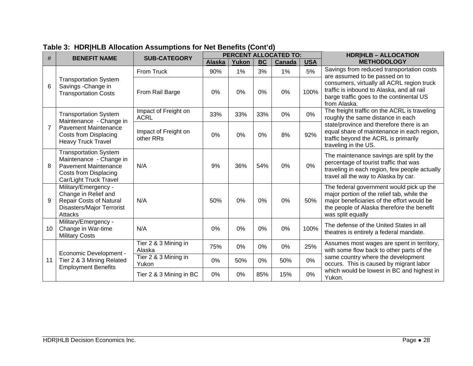| #               | <b>BENEFIT NAME</b>                                                                                                                       | <b>SUB-CATEGORY</b>                 |               |       |           | <b>PERCENT ALLOCATED TO:</b> |            | <b>HDR HLB - ALLOCATION</b>                                                                                                                                                                             |  |
|-----------------|-------------------------------------------------------------------------------------------------------------------------------------------|-------------------------------------|---------------|-------|-----------|------------------------------|------------|---------------------------------------------------------------------------------------------------------------------------------------------------------------------------------------------------------|--|
|                 |                                                                                                                                           |                                     | <b>Alaska</b> | Yukon | <b>BC</b> | <b>Canada</b>                | <b>USA</b> | <b>METHODOLOGY</b>                                                                                                                                                                                      |  |
|                 |                                                                                                                                           | From Truck                          | 90%           | $1\%$ | 3%        | 1%                           | 5%         | Savings from reduced transportation costs<br>are assumed to be passed on to                                                                                                                             |  |
| 6               | <b>Transportation System</b><br>Savings - Change in<br><b>Transportation Costs</b>                                                        | From Rail Barge                     | 0%            | 0%    | 0%        | 0%                           | 100%       | consumers, virtually all ACRL region truck<br>traffic is inbound to Alaska, and all rail<br>barge traffic goes to the continental US<br>from Alaska.                                                    |  |
|                 | <b>Transportation System</b><br>Maintenance - Change in                                                                                   | Impact of Freight on<br><b>ACRL</b> | 33%           | 33%   | 33%       | 0%                           | 0%         | The freight traffic on the ACRL is traveling<br>roughly the same distance in each                                                                                                                       |  |
| $\overline{7}$  | <b>Pavement Maintenance</b><br>Costs from Displacing<br><b>Heavy Truck Travel</b>                                                         | Impact of Freight on<br>other RRs   | 0%            | 0%    | 0%        | 8%                           | 92%        | state/province and therefore there is an<br>equal share of maintenance in each region,<br>traffic beyond the ACRL is primarily<br>traveling in the US.                                                  |  |
| 8               | <b>Transportation System</b><br>Maintenance - Change in<br><b>Pavement Maintenance</b><br>Costs from Displacing<br>Car/Light Truck Travel | N/A                                 | 9%            | 36%   | 54%       | 0%                           | 0%         | The maintenance savings are split by the<br>percentage of tourist traffic that was<br>traveling in each region, few people actually<br>travel all the way to Alaska by car.                             |  |
| 9               | Military/Emergency -<br>Change in Relief and<br>Repair Costs of Natural<br>Disasters/Major Terrorist<br>Attacks                           | N/A                                 | 50%           | 0%    | 0%        | 0%                           | 50%        | The federal government would pick up the<br>major portion of the relief tab, while the<br>major beneficiaries of the effort would be<br>the people of Alaska therefore the benefit<br>was split equally |  |
| 10 <sup>°</sup> | Military/Emergency -<br>Change in War-time<br><b>Military Costs</b>                                                                       | N/A                                 | 0%            | 0%    | 0%        | 0%                           | 100%       | The defense of the United States in all<br>theatres is entirely a federal mandate.                                                                                                                      |  |
|                 | Economic Development -                                                                                                                    | Tier 2 & 3 Mining in<br>Alaska      | 75%           | 0%    | 0%        | 0%                           | 25%        | Assumes most wages are spent in territory,<br>with some flow back to other parts of the                                                                                                                 |  |
| 11              | Tier 2 & 3 Mining Related<br><b>Employment Benefits</b>                                                                                   | Tier 2 & 3 Mining in<br>Yukon       | 0%            | 50%   | 0%        | 50%                          | 0%         | same country where the development<br>occurs. This is caused by migrant labor                                                                                                                           |  |
|                 |                                                                                                                                           | Tier 2 & 3 Mining in BC             | 0%            | 0%    | 85%       | 15%                          | 0%         | which would be lowest in BC and highest in<br>Yukon.                                                                                                                                                    |  |

### **Table 3: HDR|HLB Allocation Assumptions for Net Benefits (Cont'd)**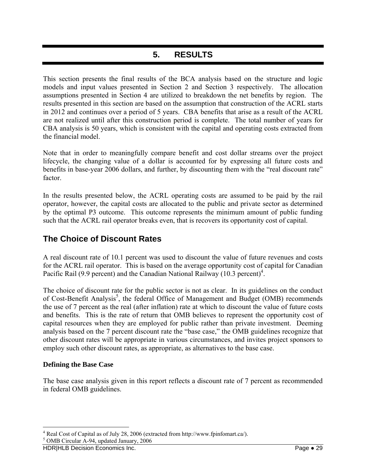## **5. RESULTS**

This section presents the final results of the BCA analysis based on the structure and logic models and input values presented in Section 2 and Section 3 respectively. The allocation assumptions presented in Section 4 are utilized to breakdown the net benefits by region. The results presented in this section are based on the assumption that construction of the ACRL starts in 2012 and continues over a period of 5 years. CBA benefits that arise as a result of the ACRL are not realized until after this construction period is complete. The total number of years for CBA analysis is 50 years, which is consistent with the capital and operating costs extracted from the financial model.

Note that in order to meaningfully compare benefit and cost dollar streams over the project lifecycle, the changing value of a dollar is accounted for by expressing all future costs and benefits in base-year 2006 dollars, and further, by discounting them with the "real discount rate" factor.

In the results presented below, the ACRL operating costs are assumed to be paid by the rail operator, however, the capital costs are allocated to the public and private sector as determined by the optimal P3 outcome. This outcome represents the minimum amount of public funding such that the ACRL rail operator breaks even, that is recovers its opportunity cost of capital.

### **The Choice of Discount Rates**

A real discount rate of 10.1 percent was used to discount the value of future revenues and costs for the ACRL rail operator. This is based on the average opportunity cost of capital for Canadian Pacific Rail (9.9 percent) and the Canadian National Railway (10.3 percent)<sup>4</sup>.

The choice of discount rate for the public sector is not as clear. In its guidelines on the conduct of Cost-Benefit Analysis<sup>5</sup>, the federal Office of Management and Budget (OMB) recommends the use of 7 percent as the real (after inflation) rate at which to discount the value of future costs and benefits. This is the rate of return that OMB believes to represent the opportunity cost of capital resources when they are employed for public rather than private investment. Deeming analysis based on the 7 percent discount rate the "base case," the OMB guidelines recognize that other discount rates will be appropriate in various circumstances, and invites project sponsors to employ such other discount rates, as appropriate, as alternatives to the base case.

#### **Defining the Base Case**

1

The base case analysis given in this report reflects a discount rate of 7 percent as recommended in federal OMB guidelines.

<sup>5</sup> OMB Circular A-94, updated January, 2006

<sup>&</sup>lt;sup>4</sup> Real Cost of Capital as of July 28, 2006 (extracted from http://www.fpinfomart.ca/).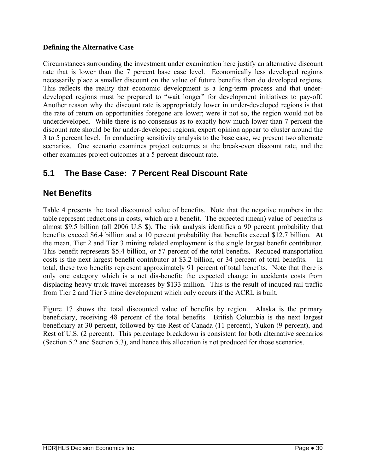#### **Defining the Alternative Case**

Circumstances surrounding the investment under examination here justify an alternative discount rate that is lower than the 7 percent base case level. Economically less developed regions necessarily place a smaller discount on the value of future benefits than do developed regions. This reflects the reality that economic development is a long-term process and that underdeveloped regions must be prepared to "wait longer" for development initiatives to pay-off. Another reason why the discount rate is appropriately lower in under-developed regions is that the rate of return on opportunities foregone are lower; were it not so, the region would not be underdeveloped. While there is no consensus as to exactly how much lower than 7 percent the discount rate should be for under-developed regions, expert opinion appear to cluster around the 3 to 5 percent level. In conducting sensitivity analysis to the base case, we present two alternate scenarios. One scenario examines project outcomes at the break-even discount rate, and the other examines project outcomes at a 5 percent discount rate.

### **5.1 The Base Case: 7 Percent Real Discount Rate**

### **Net Benefits**

Table 4 presents the total discounted value of benefits. Note that the negative numbers in the table represent reductions in costs, which are a benefit. The expected (mean) value of benefits is almost \$9.5 billion (all 2006 U.S \$). The risk analysis identifies a 90 percent probability that benefits exceed \$6.4 billion and a 10 percent probability that benefits exceed \$12.7 billion. At the mean, Tier 2 and Tier 3 mining related employment is the single largest benefit contributor. This benefit represents \$5.4 billion, or 57 percent of the total benefits. Reduced transportation costs is the next largest benefit contributor at \$3.2 billion, or 34 percent of total benefits. total, these two benefits represent approximately 91 percent of total benefits. Note that there is only one category which is a net dis-benefit; the expected change in accidents costs from displacing heavy truck travel increases by \$133 million. This is the result of induced rail traffic from Tier 2 and Tier 3 mine development which only occurs if the ACRL is built.

Figure 17 shows the total discounted value of benefits by region. Alaska is the primary beneficiary, receiving 48 percent of the total benefits. British Columbia is the next largest beneficiary at 30 percent, followed by the Rest of Canada (11 percent), Yukon (9 percent), and Rest of U.S. (2 percent). This percentage breakdown is consistent for both alternative scenarios (Section 5.2 and Section 5.3), and hence this allocation is not produced for those scenarios.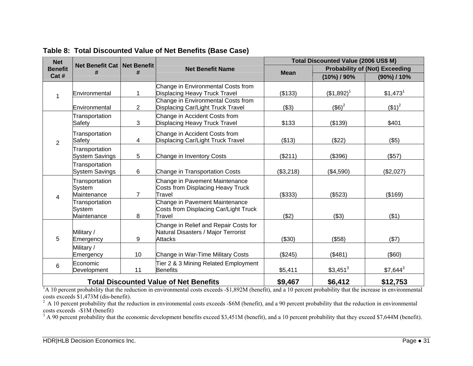| <b>Net</b>     |                                         |                |                                                                                         | Total Discounted Value (2006 US\$ M) |                                       |                       |  |
|----------------|-----------------------------------------|----------------|-----------------------------------------------------------------------------------------|--------------------------------------|---------------------------------------|-----------------------|--|
| <b>Benefit</b> | Net Benefit Cat   Net Benefit           | #              | <b>Net Benefit Name</b>                                                                 | <b>Mean</b>                          | <b>Probability of (Not) Exceeding</b> |                       |  |
| Cat#           |                                         |                |                                                                                         |                                      | $(10\%)$ / 90%                        | (90%) / 10%           |  |
|                |                                         |                | Change in Environmental Costs from                                                      |                                      |                                       |                       |  |
| 1              | Environmental                           | 1              | <b>Displacing Heavy Truck Travel</b>                                                    | (\$133)                              | $$1,892$ <sup>1</sup>                 | $$1,473$ <sup>1</sup> |  |
|                | Environmental                           | $\overline{2}$ | Change in Environmental Costs from<br>Displacing Car/Light Truck Travel                 | ( \$3)                               | $($ \$6) <sup>2</sup>                 | $($ \$1) <sup>2</sup> |  |
|                | Transportation                          | 3              | Change in Accident Costs from                                                           |                                      |                                       |                       |  |
|                | Safety                                  |                | <b>Displacing Heavy Truck Travel</b>                                                    | \$133                                | (\$139)                               | \$401                 |  |
| $\overline{2}$ | Transportation<br>Safety                | 4              | Change in Accident Costs from<br>Displacing Car/Light Truck Travel                      | (\$13)                               | (\$22)                                | (\$5)                 |  |
|                | Transportation<br><b>System Savings</b> | 5              | Change in Inventory Costs                                                               | (\$211)                              | (\$396)                               | (\$57)                |  |
|                | Transportation<br><b>System Savings</b> | 6              | Change in Transportation Costs                                                          | (\$3,218)                            | (\$4,590)                             | (\$2,027)             |  |
|                | Transportation<br>System<br>Maintenance | $\overline{7}$ | Change in Pavement Maintenance<br>Costs from Displacing Heavy Truck<br>Travel           | (\$333)                              | (\$523)                               | (\$169)               |  |
| 4              | Transportation<br>System<br>Maintenance | 8              | Change in Pavement Maintenance<br>Costs from Displacing Car/Light Truck<br>Travel       | (\$2)                                | (\$3)                                 | (\$1)                 |  |
| 5              | Military /<br>Emergency                 | 9              | Change in Relief and Repair Costs for<br>Natural Disasters / Major Terrorist<br>Attacks | (\$30)                               | (\$58)                                | ( \$7)                |  |
|                | Military /<br>Emergency                 | 10             | Change in War-Time Military Costs                                                       | (\$245)                              | (\$481)                               | $($ \$60)             |  |
| 6              | Economic<br>Development                 | 11             | Tier 2 & 3 Mining Related Employment<br><b>Benefits</b>                                 | \$5,411                              | $$3,451^3$                            | $$7,644^3$            |  |
|                |                                         |                | <b>Total Discounted Value of Net Benefits</b>                                           | \$9,467                              | \$6,412                               | \$12,753              |  |

**Table 8: Total Discounted Value of Net Benefits (Base Case)** 

<sup>1</sup>A 10 percent probability that the reduction in environmental costs exceeds -\$1,892M (benefit), and a 10 percent probability that the increase in environmental costs exceeds \$1,473M (dis-benefit).

 $2 A 10$  percent probability that the reduction in environmental costs exceeds -\$6M (benefit), and a 90 percent probability that the reduction in environmental costs exceeds -\$1M (benefit)

<sup>3</sup> A 90 percent probability that the economic development benefits exceed \$3,451M (benefit), and a 10 percent probability that they exceed \$7,644M (benefit).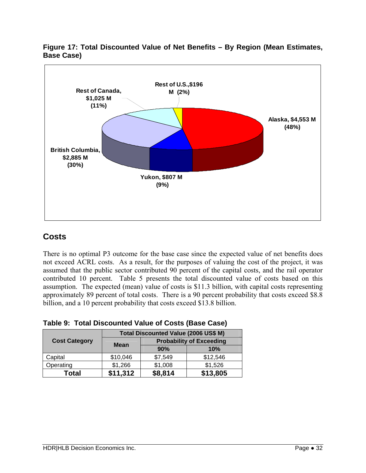



### **Costs**

There is no optimal P3 outcome for the base case since the expected value of net benefits does not exceed ACRL costs. As a result, for the purposes of valuing the cost of the project, it was assumed that the public sector contributed 90 percent of the capital costs, and the rail operator contributed 10 percent. Table 5 presents the total discounted value of costs based on this assumption. The expected (mean) value of costs is \$11.3 billion, with capital costs representing approximately 89 percent of total costs. There is a 90 percent probability that costs exceed \$8.8 billion, and a 10 percent probability that costs exceed \$13.8 billion.

|                      |             | Total Discounted Value (2006 US\$ M) |          |  |  |  |  |
|----------------------|-------------|--------------------------------------|----------|--|--|--|--|
| <b>Cost Category</b> | <b>Mean</b> | <b>Probability of Exceeding</b>      |          |  |  |  |  |
|                      |             | 90%                                  | 10%      |  |  |  |  |
| Capital              | \$10,046    | \$7,549                              | \$12,546 |  |  |  |  |
| Operating            | \$1,266     | \$1,008                              | \$1,526  |  |  |  |  |
| Total                | \$11,312    | \$8,814                              | \$13,805 |  |  |  |  |

**Table 9: Total Discounted Value of Costs (Base Case)**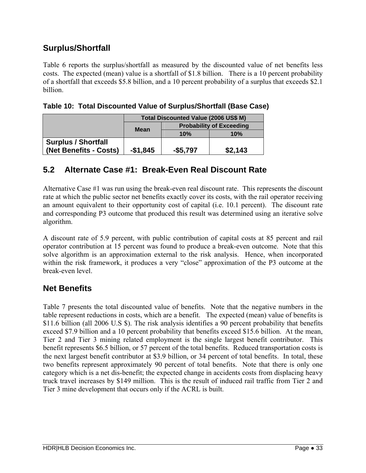### **Surplus/Shortfall**

Table 6 reports the surplus/shortfall as measured by the discounted value of net benefits less costs. The expected (mean) value is a shortfall of \$1.8 billion. There is a 10 percent probability of a shortfall that exceeds \$5.8 billion, and a 10 percent probability of a surplus that exceeds \$2.1 billion.

|                            | Total Discounted Value (2006 US\$ M) |                                 |         |  |  |  |  |
|----------------------------|--------------------------------------|---------------------------------|---------|--|--|--|--|
|                            | <b>Mean</b>                          | <b>Probability of Exceeding</b> |         |  |  |  |  |
|                            |                                      | 10%                             | 10%     |  |  |  |  |
| <b>Surplus / Shortfall</b> |                                      |                                 |         |  |  |  |  |
| (Net Benefits - Costs)     | $-$1,845$                            | $-$ \$5,797                     | \$2,143 |  |  |  |  |

|  |  |  | Table 10: Total Discounted Value of Surplus/Shortfall (Base Case) |  |
|--|--|--|-------------------------------------------------------------------|--|
|--|--|--|-------------------------------------------------------------------|--|

### **5.2 Alternate Case #1: Break-Even Real Discount Rate**

Alternative Case #1 was run using the break-even real discount rate. This represents the discount rate at which the public sector net benefits exactly cover its costs, with the rail operator receiving an amount equivalent to their opportunity cost of capital (i.e. 10.1 percent). The discount rate and corresponding P3 outcome that produced this result was determined using an iterative solve algorithm.

A discount rate of 5.9 percent, with public contribution of capital costs at 85 percent and rail operator contribution at 15 percent was found to produce a break-even outcome. Note that this solve algorithm is an approximation external to the risk analysis. Hence, when incorporated within the risk framework, it produces a very "close" approximation of the P3 outcome at the break-even level.

#### **Net Benefits**

Table 7 presents the total discounted value of benefits. Note that the negative numbers in the table represent reductions in costs, which are a benefit. The expected (mean) value of benefits is \$11.6 billion (all 2006 U.S \$). The risk analysis identifies a 90 percent probability that benefits exceed \$7.9 billion and a 10 percent probability that benefits exceed \$15.6 billion. At the mean, Tier 2 and Tier 3 mining related employment is the single largest benefit contributor. This benefit represents \$6.5 billion, or 57 percent of the total benefits. Reduced transportation costs is the next largest benefit contributor at \$3.9 billion, or 34 percent of total benefits. In total, these two benefits represent approximately 90 percent of total benefits. Note that there is only one category which is a net dis-benefit; the expected change in accidents costs from displacing heavy truck travel increases by \$149 million. This is the result of induced rail traffic from Tier 2 and Tier 3 mine development that occurs only if the ACRL is built.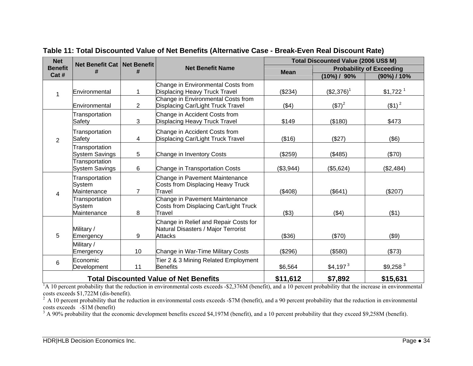| <b>Net</b>     | Net Benefit Cat   Net Benefit           |                |                                                                                         | Total Discounted Value (2006 US\$ M) |                       |                                 |  |
|----------------|-----------------------------------------|----------------|-----------------------------------------------------------------------------------------|--------------------------------------|-----------------------|---------------------------------|--|
| <b>Benefit</b> |                                         | #              | <b>Net Benefit Name</b>                                                                 | <b>Mean</b>                          |                       | <b>Probability of Exceeding</b> |  |
| Cat #          |                                         |                |                                                                                         |                                      | $(10\%) / 90\%$       | (90%) / 10%                     |  |
| 1              | Environmental                           |                | Change in Environmental Costs from<br><b>Displacing Heavy Truck Travel</b>              | (\$234)                              | $($2,376)^1$          | $$1,722$ <sup>1</sup>           |  |
|                | Environmental                           | $\overline{2}$ | Change in Environmental Costs from<br>Displacing Car/Light Truck Travel                 | ( \$4)                               | $($7)^2$              | $($ \$1) <sup>2</sup>           |  |
|                | Transportation<br>Safety                | 3              | Change in Accident Costs from<br><b>Displacing Heavy Truck Travel</b>                   | \$149                                | (\$180)               | \$473                           |  |
| $\overline{2}$ | Transportation<br>Safety                | 4              | Change in Accident Costs from<br>Displacing Car/Light Truck Travel                      | (\$16)                               | (\$27)                | $($ \$6)                        |  |
|                | Transportation<br><b>System Savings</b> | 5              | Change in Inventory Costs                                                               | (\$259)                              | (\$485)               | (\$70)                          |  |
|                | Transportation<br><b>System Savings</b> | 6              | Change in Transportation Costs                                                          | (\$3,944)                            | (\$5,624)             | (\$2,484)                       |  |
| 4              | Transportation<br>System<br>Maintenance | $\overline{7}$ | Change in Pavement Maintenance<br>Costs from Displacing Heavy Truck<br>Travel           | (\$408)                              | (\$641)               | (\$207)                         |  |
|                | Transportation<br>System<br>Maintenance | 8              | Change in Pavement Maintenance<br>Costs from Displacing Car/Light Truck<br>Travel       | (\$3)                                | (\$4)                 | ( \$1)                          |  |
| 5              | Military /<br>Emergency                 | 9              | Change in Relief and Repair Costs for<br>Natural Disasters / Major Terrorist<br>Attacks | (\$36)                               | (\$70)                | (\$9)                           |  |
|                | Military /<br>Emergency                 | 10             | Change in War-Time Military Costs                                                       | (\$296)                              | (\$580)               | (\$73)                          |  |
| 6              | Economic<br>Development                 | 11             | Tier 2 & 3 Mining Related Employment<br><b>Benefits</b>                                 | \$6,564                              | $$4,197$ <sup>3</sup> | $$9,258$ <sup>3</sup>           |  |
|                |                                         |                | <b>Total Discounted Value of Net Benefits</b>                                           | \$11,612                             | \$7,892               | \$15,631                        |  |

**Table 11: Total Discounted Value of Net Benefits (Alternative Case - Break-Even Real Discount Rate)** 

<sup>1</sup>A 10 percent probability that the reduction in environmental costs exceeds -\$2,376M (benefit), and a 10 percent probability that the increase in environmental costs exceeds \$1,722M (dis-benefit).

 $2 \text{ A } 10$  percent probability that the reduction in environmental costs exceeds -\$7M (benefit), and a 90 percent probability that the reduction in environmental costs exceeds -\$1M (benefit)

<sup>3</sup> A 90% probability that the economic development benefits exceed \$4,197M (benefit), and a 10 percent probability that they exceed \$9,258M (benefit).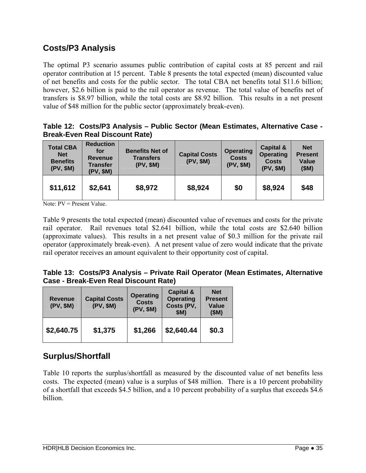### **Costs/P3 Analysis**

The optimal P3 scenario assumes public contribution of capital costs at 85 percent and rail operator contribution at 15 percent. Table 8 presents the total expected (mean) discounted value of net benefits and costs for the public sector. The total CBA net benefits total \$11.6 billion; however, \$2.6 billion is paid to the rail operator as revenue. The total value of benefits net of transfers is \$8.97 billion, while the total costs are \$8.92 billion. This results in a net present value of \$48 million for the public sector (approximately break-even).

|  |                                       | Table 12: Costs/P3 Analysis - Public Sector (Mean Estimates, Alternative Case - |  |  |
|--|---------------------------------------|---------------------------------------------------------------------------------|--|--|
|  | <b>Break-Even Real Discount Rate)</b> |                                                                                 |  |  |

| <b>Total CBA</b><br><b>Net</b><br><b>Benefits</b><br>(PV, \$M) | <b>Reduction</b><br>for<br><b>Revenue</b><br><b>Transfer</b><br>(PV, \$M) | <b>Benefits Net of</b><br><b>Transfers</b><br>(PV, \$M) | <b>Capital Costs</b><br>(PV, \$M) | <b>Operating</b><br><b>Costs</b><br>(PV, \$M) | <b>Capital &amp;</b><br><b>Operating</b><br><b>Costs</b><br>(PV, \$M) | <b>Net</b><br><b>Present</b><br>Value<br>(SM) |
|----------------------------------------------------------------|---------------------------------------------------------------------------|---------------------------------------------------------|-----------------------------------|-----------------------------------------------|-----------------------------------------------------------------------|-----------------------------------------------|
| \$11,612                                                       | \$2,641                                                                   | \$8,972                                                 | \$8,924                           | \$0                                           | \$8,924                                                               | \$48                                          |

Note: PV = Present Value.

Table 9 presents the total expected (mean) discounted value of revenues and costs for the private rail operator. Rail revenues total \$2.641 billion, while the total costs are \$2.640 billion (approximate values). This results in a net present value of \$0.3 million for the private rail operator (approximately break-even). A net present value of zero would indicate that the private rail operator receives an amount equivalent to their opportunity cost of capital.

|  |                                       |  |  | Table 13: Costs/P3 Analysis – Private Rail Operator (Mean Estimates, Alternative |
|--|---------------------------------------|--|--|----------------------------------------------------------------------------------|
|  | Case - Break-Even Real Discount Rate) |  |  |                                                                                  |

| <b>Revenue</b><br>(PV, \$M) | <b>Capital Costs</b><br>(PV, \$M) | <b>Operating</b><br><b>Costs</b><br>(PV, \$M) | Capital &<br><b>Operating</b><br>Costs (PV,<br>\$M) | <b>Net</b><br><b>Present</b><br>Value<br>(SM) |
|-----------------------------|-----------------------------------|-----------------------------------------------|-----------------------------------------------------|-----------------------------------------------|
| \$2,640.75                  | \$1,375                           | \$1,266                                       | \$2,640.44                                          | \$0.3                                         |

### **Surplus/Shortfall**

Table 10 reports the surplus/shortfall as measured by the discounted value of net benefits less costs. The expected (mean) value is a surplus of \$48 million. There is a 10 percent probability of a shortfall that exceeds \$4.5 billion, and a 10 percent probability of a surplus that exceeds \$4.6 billion.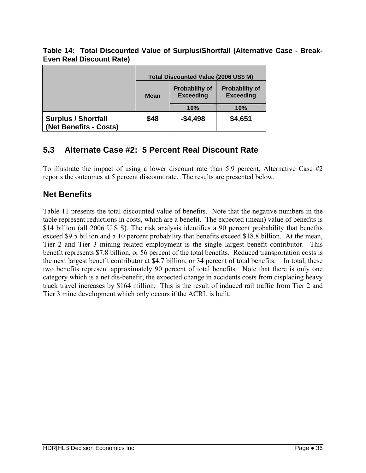#### **Table 14: Total Discounted Value of Surplus/Shortfall (Alternative Case - Break-Even Real Discount Rate)**

|                                                      | Total Discounted Value (2006 US\$ M) |                                           |                                           |  |
|------------------------------------------------------|--------------------------------------|-------------------------------------------|-------------------------------------------|--|
|                                                      | <b>Mean</b>                          | <b>Probability of</b><br><b>Exceeding</b> | <b>Probability of</b><br><b>Exceeding</b> |  |
|                                                      |                                      | 10%                                       | 10%                                       |  |
| <b>Surplus / Shortfall</b><br>(Net Benefits - Costs) | \$48                                 | $-$ \$4,498                               | \$4,651                                   |  |

### **5.3 Alternate Case #2: 5 Percent Real Discount Rate**

To illustrate the impact of using a lower discount rate than 5.9 percent, Alternative Case #2 reports the outcomes at 5 percent discount rate. The results are presented below.

### **Net Benefits**

Table 11 presents the total discounted value of benefits. Note that the negative numbers in the table represent reductions in costs, which are a benefit. The expected (mean) value of benefits is \$14 billion (all 2006 U.S \$). The risk analysis identifies a 90 percent probability that benefits exceed \$9.5 billion and a 10 percent probability that benefits exceed \$18.8 billion. At the mean, Tier 2 and Tier 3 mining related employment is the single largest benefit contributor. This benefit represents \$7.8 billion, or 56 percent of the total benefits. Reduced transportation costs is the next largest benefit contributor at \$4.7 billion, or 34 percent of total benefits. In total, these two benefits represent approximately 90 percent of total benefits. Note that there is only one category which is a net dis-benefit; the expected change in accidents costs from displacing heavy truck travel increases by \$164 million. This is the result of induced rail traffic from Tier 2 and Tier 3 mine development which only occurs if the ACRL is built.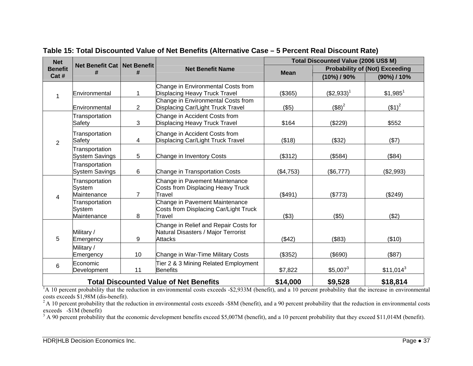| <b>Net</b><br>Net Benefit Cat   Net Benefit |                                                                                  |                |                                                                                                |             | Total Discounted Value (2006 US\$ M) |                                       |  |  |
|---------------------------------------------|----------------------------------------------------------------------------------|----------------|------------------------------------------------------------------------------------------------|-------------|--------------------------------------|---------------------------------------|--|--|
| <b>Benefit</b>                              |                                                                                  |                | <b>Net Benefit Name</b>                                                                        | <b>Mean</b> |                                      | <b>Probability of (Not) Exceeding</b> |  |  |
| Cat #                                       |                                                                                  |                |                                                                                                |             | $(10\%)$ / 90%                       | (90%) / 10%                           |  |  |
| 1                                           | Environmental                                                                    | 1              | Change in Environmental Costs from<br><b>Displacing Heavy Truck Travel</b>                     | (\$365)     | $($2,933)^1$                         | $$1,985$ <sup>1</sup>                 |  |  |
|                                             | Environmental                                                                    | $\overline{2}$ | Change in Environmental Costs from<br>Displacing Car/Light Truck Travel                        | (\$5)       | $($ \$8) <sup>2</sup>                | $($ \$1) <sup>2</sup>                 |  |  |
|                                             | Transportation<br>Safety                                                         | 3              | Change in Accident Costs from<br><b>Displacing Heavy Truck Travel</b>                          | \$164       | (\$229)                              | \$552                                 |  |  |
| $\overline{2}$                              | Transportation<br>Safety                                                         | 4              | Change in Accident Costs from<br>Displacing Car/Light Truck Travel                             | (\$18)      | (\$32)                               | (\$7)                                 |  |  |
|                                             | Transportation<br><b>System Savings</b>                                          | 5              | Change in Inventory Costs                                                                      | (\$312)     | (\$584)                              | (\$84)                                |  |  |
|                                             | Transportation<br><b>System Savings</b>                                          | 6              | Change in Transportation Costs                                                                 | (\$4,753)   | (\$6,777)                            | (\$2,993)                             |  |  |
| 4                                           | Transportation<br>System<br>Maintenance                                          | $\overline{7}$ | Change in Pavement Maintenance<br>Costs from Displacing Heavy Truck<br>Travel                  | (\$491)     | (\$773)                              | (\$249)                               |  |  |
|                                             | Transportation<br>System<br>Maintenance                                          | 8              | Change in Pavement Maintenance<br>Costs from Displacing Car/Light Truck<br>Travel              | (\$3)       | (\$5)                                | (\$2)                                 |  |  |
| 5                                           | Military /<br>Emergency                                                          | 9              | Change in Relief and Repair Costs for<br>Natural Disasters / Major Terrorist<br><b>Attacks</b> | (\$42)      | (\$83)                               | (\$10)                                |  |  |
|                                             | Military /<br>Emergency                                                          | 10             | Change in War-Time Military Costs                                                              | (\$352)     | (\$690)                              | (\$87)                                |  |  |
| 6                                           | Economic<br>Development                                                          | 11             | Tier 2 & 3 Mining Related Employment<br><b>Benefits</b>                                        | \$7,822     | $$5,007^3$                           | $$11,014^3$                           |  |  |
|                                             | \$14,000<br>\$9,528<br>\$18,814<br><b>Total Discounted Value of Net Benefits</b> |                |                                                                                                |             |                                      |                                       |  |  |

**Table 15: Total Discounted Value of Net Benefits (Alternative Case – 5 Percent Real Discount Rate)** 

<sup>1</sup>A 10 percent probability that the reduction in environmental costs exceeds -\$2,933M (benefit), and a 10 percent probability that the increase in environmental costs exceeds \$1,98M (dis-benefit).

<sup>2</sup>A 10 percent probability that the reduction in environmental costs exceeds -\$8M (benefit), and a 90 percent probability that the reduction in environmental costs exceeds -\$1M (benefit)

<sup>3</sup> A 90 percent probability that the economic development benefits exceed \$5,007M (benefit), and a 10 percent probability that they exceed \$11,014M (benefit).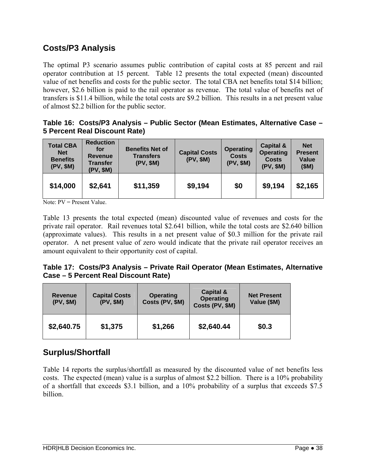### **Costs/P3 Analysis**

The optimal P3 scenario assumes public contribution of capital costs at 85 percent and rail operator contribution at 15 percent. Table 12 presents the total expected (mean) discounted value of net benefits and costs for the public sector. The total CBA net benefits total \$14 billion; however, \$2.6 billion is paid to the rail operator as revenue. The total value of benefits net of transfers is \$11.4 billion, while the total costs are \$9.2 billion. This results in a net present value of almost \$2.2 billion for the public sector.

|                               |  |  | Table 16: Costs/P3 Analysis - Public Sector (Mean Estimates, Alternative Case - |  |
|-------------------------------|--|--|---------------------------------------------------------------------------------|--|
| 5 Percent Real Discount Rate) |  |  |                                                                                 |  |

| <b>Total CBA</b><br><b>Net</b><br><b>Benefits</b><br>(PV, \$M) | <b>Reduction</b><br>for<br><b>Revenue</b><br><b>Transfer</b><br>(PV, \$M) | <b>Benefits Net of</b><br><b>Transfers</b><br>(PV, \$M) | <b>Capital Costs</b><br>(PV, \$M) | <b>Operating</b><br><b>Costs</b><br>(PV, \$M) | Capital &<br><b>Operating</b><br><b>Costs</b><br>(PV, \$M) | <b>Net</b><br><b>Present</b><br>Value<br>(SM) |
|----------------------------------------------------------------|---------------------------------------------------------------------------|---------------------------------------------------------|-----------------------------------|-----------------------------------------------|------------------------------------------------------------|-----------------------------------------------|
| \$14,000                                                       | \$2,641                                                                   | \$11,359                                                | \$9,194                           | \$0                                           | \$9,194                                                    | \$2,165                                       |

Note: PV = Present Value.

Table 13 presents the total expected (mean) discounted value of revenues and costs for the private rail operator. Rail revenues total \$2.641 billion, while the total costs are \$2.640 billion (approximate values). This results in a net present value of \$0.3 million for the private rail operator. A net present value of zero would indicate that the private rail operator receives an amount equivalent to their opportunity cost of capital.

#### **Table 17: Costs/P3 Analysis – Private Rail Operator (Mean Estimates, Alternative Case – 5 Percent Real Discount Rate)**

| <b>Revenue</b><br>(PV, \$M) | <b>Capital Costs</b><br>(PV, \$M) | <b>Operating</b><br>Costs (PV, \$M) | Capital &<br><b>Operating</b><br>Costs (PV, \$M) | <b>Net Present</b><br>Value (\$M) |
|-----------------------------|-----------------------------------|-------------------------------------|--------------------------------------------------|-----------------------------------|
| \$2,640.75                  | \$1,375                           | \$1,266                             | \$2,640.44                                       | \$0.3                             |

### **Surplus/Shortfall**

Table 14 reports the surplus/shortfall as measured by the discounted value of net benefits less costs. The expected (mean) value is a surplus of almost \$2.2 billion. There is a 10% probability of a shortfall that exceeds \$3.1 billion, and a 10% probability of a surplus that exceeds \$7.5 billion.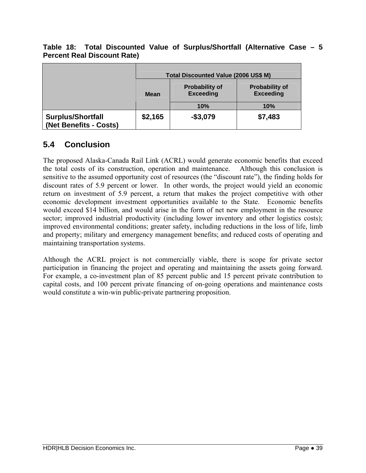|                                                    |             | Total Discounted Value (2006 US\$ M)      |                                           |  |  |  |
|----------------------------------------------------|-------------|-------------------------------------------|-------------------------------------------|--|--|--|
|                                                    | <b>Mean</b> | <b>Probability of</b><br><b>Exceeding</b> | <b>Probability of</b><br><b>Exceeding</b> |  |  |  |
|                                                    |             | 10%                                       | 10%                                       |  |  |  |
| <b>Surplus/Shortfall</b><br>(Net Benefits - Costs) | \$2,165     | $-$ \$3,079                               | \$7,483                                   |  |  |  |

#### **Table 18: Total Discounted Value of Surplus/Shortfall (Alternative Case – 5 Percent Real Discount Rate)**

### **5.4 Conclusion**

The proposed Alaska-Canada Rail Link (ACRL) would generate economic benefits that exceed the total costs of its construction, operation and maintenance. Although this conclusion is sensitive to the assumed opportunity cost of resources (the "discount rate"), the finding holds for discount rates of 5.9 percent or lower. In other words, the project would yield an economic return on investment of 5.9 percent, a return that makes the project competitive with other economic development investment opportunities available to the State. Economic benefits would exceed \$14 billion, and would arise in the form of net new employment in the resource sector; improved industrial productivity (including lower inventory and other logistics costs); improved environmental conditions; greater safety, including reductions in the loss of life, limb and property; military and emergency management benefits; and reduced costs of operating and maintaining transportation systems.

Although the ACRL project is not commercially viable, there is scope for private sector participation in financing the project and operating and maintaining the assets going forward. For example, a co-investment plan of 85 percent public and 15 percent private contribution to capital costs, and 100 percent private financing of on-going operations and maintenance costs would constitute a win-win public-private partnering proposition.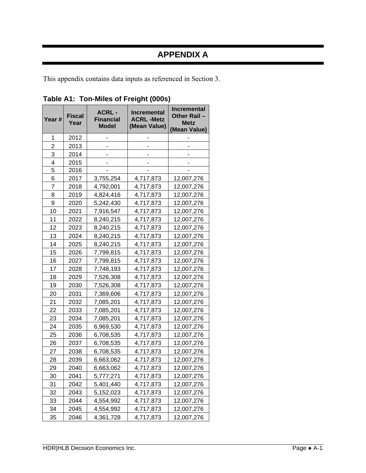## **APPENDIX A**

This appendix contains data inputs as referenced in Section 3.

| Year # | <b>Fiscal</b><br>Year | <b>ACRL-</b><br><b>Financial</b><br><b>Model</b> | <b>Incremental</b><br><b>ACRL-Metz</b><br>(Mean Value) | Incremental<br><b>Other Rail</b><br><b>Metz</b><br>(Mean Value) |
|--------|-----------------------|--------------------------------------------------|--------------------------------------------------------|-----------------------------------------------------------------|
| 1      | 2012                  |                                                  |                                                        |                                                                 |
| 2      | 2013                  |                                                  |                                                        |                                                                 |
| 3      | 2014                  |                                                  |                                                        |                                                                 |
| 4      | 2015                  |                                                  |                                                        |                                                                 |
| 5      | 2016                  |                                                  |                                                        |                                                                 |
| 6      | 2017                  | 3,755,254                                        | 4,717,873                                              | 12,007,276                                                      |
| 7      | 2018                  | 4,792,001                                        | 4,717,873                                              | 12,007,276                                                      |
| 8      | 2019                  | 4,824,416                                        | 4,717,873                                              | 12,007,276                                                      |
| 9      | 2020                  | 5,242,430                                        | 4,717,873                                              | 12,007,276                                                      |
| 10     | 2021                  | 7,916,547                                        | 4,717,873                                              | 12,007,276                                                      |
| 11     | 2022                  | 8,240,215                                        | 4,717,873                                              | 12,007,276                                                      |
| 12     | 2023                  | 8,240,215                                        | 4,717,873                                              | 12,007,276                                                      |
| 13     | 2024                  | 8,240,215                                        | 4,717,873                                              | 12,007,276                                                      |
| 14     | 2025                  | 8,240,215                                        | 4,717,873                                              | 12,007,276                                                      |
| 15     | 2026                  | 7,799,815                                        | 4,717,873                                              | 12,007,276                                                      |
| 16     | 2027                  | 7,799,815                                        | 4,717,873                                              | 12,007,276                                                      |
| 17     | 2028                  | 7,748,193                                        | 4,717,873                                              | 12,007,276                                                      |
| 18     | 2029                  | 7,526,308                                        | 4,717,873                                              | 12,007,276                                                      |
| 19     | 2030                  | 7,526,308                                        | 4,717,873                                              | 12,007,276                                                      |
| 20     | 2031                  | 7,369,606                                        | 4,717,873                                              | 12,007,276                                                      |
| 21     | 2032                  | 7,085,201                                        | 4,717,873                                              | 12,007,276                                                      |
| 22     | 2033                  | 7,085,201                                        | 4,717,873                                              | 12,007,276                                                      |
| 23     | 2034                  | 7,085,201                                        | 4,717,873                                              | 12,007,276                                                      |
| 24     | 2035                  | 6,969,530                                        | 4,717,873                                              | 12,007,276                                                      |
| 25     | 2036                  | 6,708,535                                        | 4,717,873                                              | 12,007,276                                                      |
| 26     | 2037                  | 6,708,535                                        | 4,717,873                                              | 12,007,276                                                      |
| 27     | 2038                  | 6,708,535                                        | 4,717,873                                              | 12,007,276                                                      |
| 28     | 2039                  | 6,663,062                                        | 4,717,873                                              | 12,007,276                                                      |
| 29     | 2040                  | 6,663,062                                        | 4,717,873                                              | 12,007,276                                                      |
| 30     | 2041                  | 5,777,271                                        | 4,717,873                                              | 12,007,276                                                      |
| 31     | 2042                  | 5,401,440                                        | 4,717,873                                              | 12,007,276                                                      |
| 32     | 2043                  | 5,152,023                                        | 4,717,873                                              | 12,007,276                                                      |
| 33     | 2044                  | 4,554,992                                        | 4,717,873                                              | 12,007,276                                                      |
| 34     | 2045                  | 4,554,992                                        | 4,717,873                                              | 12,007,276                                                      |
| 35     | 2046                  | 4,361,728                                        | 4,717,873                                              | 12,007,276                                                      |

**Table A1: Ton-Miles of Freight (000s)**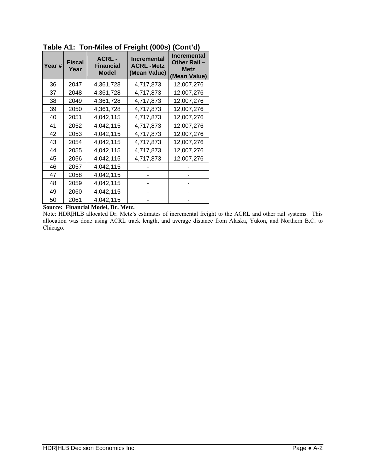| Year # | <b>Fiscal</b><br>Year | <b>ACRL-</b><br><b>Financial</b><br><b>Model</b> | - - - - - - -<br><b>Incremental</b><br><b>ACRL-Metz</b><br>(Mean Value) | Incremental<br>Other Rail-<br><b>Metz</b><br>(Mean Value) |
|--------|-----------------------|--------------------------------------------------|-------------------------------------------------------------------------|-----------------------------------------------------------|
| 36     | 2047                  | 4,361,728                                        | 4,717,873                                                               | 12,007,276                                                |
| 37     | 2048                  | 4,361,728                                        | 4,717,873                                                               | 12,007,276                                                |
| 38     | 2049                  | 4,361,728                                        | 4,717,873                                                               | 12,007,276                                                |
| 39     | 2050                  | 4,361,728                                        | 4,717,873                                                               | 12,007,276                                                |
| 40     | 2051                  | 4,042,115                                        | 4,717,873                                                               | 12,007,276                                                |
| 41     | 2052                  | 4,042,115                                        | 4,717,873                                                               | 12,007,276                                                |
| 42     | 2053                  | 4,042,115                                        | 4,717,873                                                               | 12,007,276                                                |
| 43     | 2054                  | 4,042,115                                        | 4,717,873                                                               | 12,007,276                                                |
| 44     | 2055                  | 4,042,115                                        | 4,717,873                                                               | 12,007,276                                                |
| 45     | 2056                  | 4,042,115                                        | 4,717,873                                                               | 12,007,276                                                |
| 46     | 2057                  | 4,042,115                                        |                                                                         |                                                           |
| 47     | 2058                  | 4,042,115                                        |                                                                         |                                                           |
| 48     | 2059                  | 4,042,115                                        |                                                                         |                                                           |
| 49     | 2060                  | 4,042,115                                        |                                                                         |                                                           |
| 50     | 2061                  | 4,042,115                                        |                                                                         |                                                           |

**Table A1: Ton-Miles of Freight (000s) (Cont'd)** 

**Source: Financial Model, Dr. Metz.** 

Note: HDR|HLB allocated Dr. Metz's estimates of incremental freight to the ACRL and other rail systems. This allocation was done using ACRL track length, and average distance from Alaska, Yukon, and Northern B.C. to Chicago.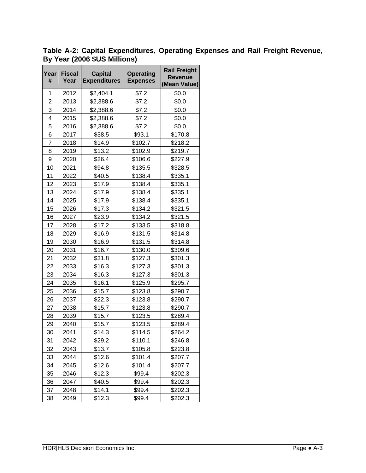| Year<br>#      | <b>Fiscal</b><br>Year | <b>Capital</b><br><b>Expenditures</b> | <b>Operating</b><br><b>Expenses</b> | <b>Rail Freight</b><br><b>Revenue</b><br>(Mean Value) |
|----------------|-----------------------|---------------------------------------|-------------------------------------|-------------------------------------------------------|
| 1              | 2012                  | \$2,404.1                             | \$7.2                               | \$0.0                                                 |
| $\overline{2}$ | 2013                  | \$2,388.6                             | \$7.2                               | \$0.0                                                 |
| 3              | 2014                  | \$2,388.6                             | \$7.2                               | \$0.0                                                 |
| 4              | 2015                  | \$2,388.6                             | \$7.2                               | \$0.0                                                 |
| 5              | 2016                  | \$2,388.6                             | \$7.2                               | \$0.0                                                 |
| 6              | 2017                  | \$38.5                                | \$93.1                              | \$170.8                                               |
| $\overline{7}$ | 2018                  | \$14.9                                | \$102.7                             | \$218.2                                               |
| 8              | 2019                  | \$13.2                                | \$102.9                             | \$219.7                                               |
| 9              | 2020                  | \$26.4                                | \$106.6                             | \$227.9                                               |
| 10             | 2021                  | \$94.8                                | \$135.5                             | \$328.5                                               |
| 11             | 2022                  | \$40.5                                | \$138.4                             | \$335.1                                               |
| 12             | 2023                  | \$17.9                                | \$138.4                             | \$335.1                                               |
| 13             | 2024                  | \$17.9                                | \$138.4                             | \$335.1                                               |
| 14             | 2025                  | \$17.9                                | \$138.4                             | \$335.1                                               |
| 15             | 2026                  | \$17.3                                | \$134.2                             | \$321.5                                               |
| 16             | 2027                  | \$23.9                                | \$134.2                             | \$321.5                                               |
| 17             | 2028                  | \$17.2                                | \$133.5                             | \$318.8                                               |
| 18             | 2029                  | \$16.9                                | \$131.5                             | \$314.8                                               |
| 19             | 2030                  | \$16.9                                | \$131.5                             | \$314.8                                               |
| 20             | 2031                  | \$16.7                                | \$130.0                             | \$309.6                                               |
| 21             | 2032                  | \$31.8                                | \$127.3                             | \$301.3                                               |
| 22             | 2033                  | \$16.3                                | \$127.3                             | \$301.3                                               |
| 23             | 2034                  | \$16.3                                | \$127.3                             | \$301.3                                               |
| 24             | 2035                  | \$16.1                                | \$125.9                             | \$295.7                                               |
| 25             | 2036                  | \$15.7                                | \$123.8                             | \$290.7                                               |
| 26             | 2037                  | \$22.3                                | \$123.8                             | \$290.7                                               |
| 27             | 2038                  | \$15.7                                | \$123.8                             | \$290.7                                               |
| 28             | 2039                  | \$15.7                                | \$123.5                             | \$289.4                                               |
| 29             | 2040                  | \$15.7                                | \$123.5                             | \$289.4                                               |
| 30             | 2041                  | \$14.3                                | \$114.5                             | \$264.2                                               |
| 31             | 2042                  | \$29.2                                | \$110.1                             | \$246.8                                               |
| 32             | 2043                  | \$13.7                                | \$105.8                             | \$223.8                                               |
| 33             | 2044                  | \$12.6                                | \$101.4                             | \$207.7                                               |
| 34             | 2045                  | \$12.6                                | \$101.4                             | \$207.7                                               |
| 35             | 2046                  | \$12.3                                | \$99.4                              | \$202.3                                               |
| 36             | 2047                  | \$40.5                                | \$99.4                              | \$202.3                                               |
| 37             | 2048                  | \$14.1                                | \$99.4                              | \$202.3                                               |
| 38             | 2049                  | \$12.3                                | \$99.4                              | \$202.3                                               |

**Table A-2: Capital Expenditures, Operating Expenses and Rail Freight Revenue, By Year (2006 \$US Millions)**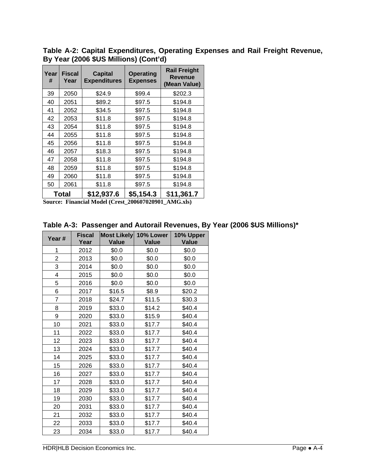**Table A-2: Capital Expenditures, Operating Expenses and Rail Freight Revenue, By Year (2006 \$US Millions) (Cont'd)** 

| Year<br># | <b>Fiscal</b><br>Year | <b>Capital</b><br><b>Expenditures</b> | <b>Operating</b><br><b>Expenses</b> | <b>Rail Freight</b><br><b>Revenue</b><br>(Mean Value) |
|-----------|-----------------------|---------------------------------------|-------------------------------------|-------------------------------------------------------|
| 39        | 2050                  | \$24.9                                | \$99.4                              | \$202.3                                               |
| 40        | 2051                  | \$89.2                                | \$97.5                              | \$194.8                                               |
| 41        | 2052                  | \$34.5                                | \$97.5                              | \$194.8                                               |
| 42        | 2053                  | \$11.8                                | \$97.5                              | \$194.8                                               |
| 43        | 2054                  | \$11.8                                | \$97.5                              | \$194.8                                               |
| 44        | 2055                  | \$11.8                                | \$97.5                              | \$194.8                                               |
| 45        | 2056                  | \$11.8                                | \$97.5                              | \$194.8                                               |
| 46        | 2057                  | \$18.3                                | \$97.5                              | \$194.8                                               |
| 47        | 2058                  | \$11.8                                | \$97.5                              | \$194.8                                               |
| 48        | 2059                  | \$11.8                                | \$97.5                              | \$194.8                                               |
| 49        | 2060                  | \$11.8                                | \$97.5                              | \$194.8                                               |
| 50        | 2061                  | \$11.8                                | \$97.5                              | \$194.8                                               |
|           | Total                 | \$12,937.6                            | \$5,154.3                           | \$11,361.7                                            |

**Source: Financial Model (Crest\_200607020901\_AMG.xls)** 

| Year # | <b>Fiscal</b><br>Year | <b>Most Likely</b><br><b>Value</b> | 10% Lower<br>Value | 10% Upper<br><b>Value</b> |
|--------|-----------------------|------------------------------------|--------------------|---------------------------|
| 1      | 2012                  | \$0.0                              | \$0.0              | \$0.0                     |
| 2      | 2013                  | \$0.0                              | \$0.0              | \$0.0                     |
| 3      | 2014                  | \$0.0                              | \$0.0              | \$0.0                     |
| 4      | 2015                  | \$0.0                              | \$0.0              | \$0.0                     |
| 5      | 2016                  | \$0.0                              | \$0.0              | \$0.0                     |
| 6      | 2017                  | \$16.5                             | \$8.9              | \$20.2                    |
| 7      | 2018                  | \$24.7                             | \$11.5             | \$30.3                    |
| 8      | 2019                  | \$33.0                             | \$14.2             | \$40.4                    |
| 9      | 2020                  | \$33.0                             | \$15.9             | \$40.4                    |
| 10     | 2021                  | \$33.0                             | \$17.7             | \$40.4                    |
| 11     | 2022                  | \$33.0                             | \$17.7             | \$40.4                    |
| 12     | 2023                  | \$33.0                             | \$17.7             | \$40.4                    |
| 13     | 2024                  | \$33.0                             | \$17.7             | \$40.4                    |
| 14     | 2025                  | \$33.0                             | \$17.7             | \$40.4                    |
| 15     | 2026                  | \$33.0                             | \$17.7             | \$40.4                    |
| 16     | 2027                  | \$33.0                             | \$17.7             | \$40.4                    |
| 17     | 2028                  | \$33.0                             | \$17.7             | \$40.4                    |
| 18     | 2029                  | \$33.0                             | \$17.7             | \$40.4                    |
| 19     | 2030                  | \$33.0                             | \$17.7             | \$40.4                    |
| 20     | 2031                  | \$33.0                             | \$17.7             | \$40.4                    |
| 21     | 2032                  | \$33.0                             | \$17.7             | \$40.4                    |
| 22     | 2033                  | \$33.0                             | \$17.7             | \$40.4                    |
| 23     | 2034                  | \$33.0                             | \$17.7             | \$40.4                    |

**Table A-3: Passenger and Autorail Revenues, By Year (2006 \$US Millions)\***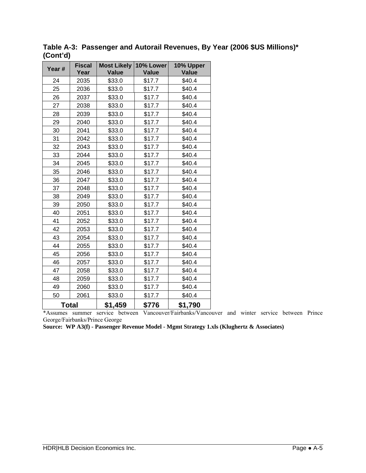| Year # | <b>Fiscal</b> | <b>Most Likely</b> | 10% Lower    | 10% Upper    |
|--------|---------------|--------------------|--------------|--------------|
|        | Year          | <b>Value</b>       | <b>Value</b> | <b>Value</b> |
| 24     | 2035          | \$33.0             | \$17.7       | \$40.4       |
| 25     | 2036          | \$33.0             | \$17.7       | \$40.4       |
| 26     | 2037          | \$33.0             | \$17.7       | \$40.4       |
| 27     | 2038          | \$33.0             | \$17.7       | \$40.4       |
| 28     | 2039          | \$33.0             | \$17.7       | \$40.4       |
| 29     | 2040          | \$33.0             | \$17.7       | \$40.4       |
| 30     | 2041          | \$33.0             | \$17.7       | \$40.4       |
| 31     | 2042          | \$33.0             | \$17.7       | \$40.4       |
| 32     | 2043          | \$33.0             | \$17.7       | \$40.4       |
| 33     | 2044          | \$33.0             | \$17.7       | \$40.4       |
| 34     | 2045          | \$33.0             | \$17.7       | \$40.4       |
| 35     | 2046          | \$33.0             | \$17.7       | \$40.4       |
| 36     | 2047          | \$33.0             | \$17.7       | \$40.4       |
| 37     | 2048          | \$33.0             | \$17.7       | \$40.4       |
| 38     | 2049          | \$33.0             | \$17.7       | \$40.4       |
| 39     | 2050          | \$33.0             | \$17.7       | \$40.4       |
| 40     | 2051          | \$33.0             | \$17.7       | \$40.4       |
| 41     | 2052          | \$33.0             | \$17.7       | \$40.4       |
| 42     | 2053          | \$33.0             | \$17.7       | \$40.4       |
| 43     | 2054          | \$33.0             | \$17.7       | \$40.4       |
| 44     | 2055          | \$33.0             | \$17.7       | \$40.4       |
| 45     | 2056          | \$33.0             | \$17.7       | \$40.4       |
| 46     | 2057          | \$33.0             | \$17.7       | \$40.4       |
| 47     | 2058          | \$33.0             | \$17.7       | \$40.4       |
| 48     | 2059          | \$33.0             | \$17.7       | \$40.4       |
| 49     | 2060          | \$33.0             | \$17.7       | \$40.4       |
| 50     | 2061          | \$33.0             | \$17.7       | \$40.4       |
|        | Total         | \$1,459            | \$776        | \$1,790      |

**Table A-3: Passenger and Autorail Revenues, By Year (2006 \$US Millions)\* (Cont'd)** 

\*Assumes summer service between Vancouver/Fairbanks/Vancouver and winter service between Prince George/Fairbanks/Prince George

**Source: WP A3(f) - Passenger Revenue Model - Mgmt Strategy 1.xls (Klughertz & Associates)**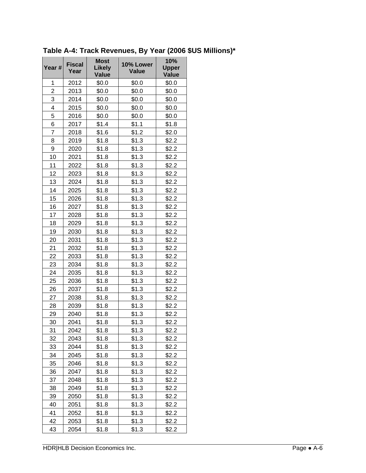| Year #         | <b>Fiscal</b><br>Year | <b>Most</b><br><b>Likely</b><br><b>Value</b> | 10% Lower<br><b>Value</b> | 10%<br><b>Upper</b><br><b>Value</b> |
|----------------|-----------------------|----------------------------------------------|---------------------------|-------------------------------------|
| 1              | 2012                  | \$0.0                                        | \$0.0                     | \$0.0                               |
| $\overline{2}$ | 2013                  | \$0.0                                        | \$0.0                     | \$0.0                               |
| 3              | 2014                  | \$0.0                                        | \$0.0                     | \$0.0                               |
| 4              | 2015                  | \$0.0                                        | \$0.0                     | \$0.0                               |
| 5              | 2016                  | \$0.0                                        | \$0.0                     | \$0.0                               |
| 6              | 2017                  | \$1.4                                        | \$1.1                     | \$1.8                               |
| 7              | 2018                  | \$1.6                                        | \$1.2                     | \$2.0                               |
| 8              | 2019                  | \$1.8                                        | \$1.3                     | \$2.2                               |
| 9              | 2020                  | \$1.8                                        | \$1.3                     | \$2.2                               |
| 10             | 2021                  | \$1.8                                        | \$1.3                     | \$2.2                               |
| 11             | 2022                  | \$1.8                                        | \$1.3                     | \$2.2                               |
| 12             | 2023                  | \$1.8                                        | \$1.3                     | \$2.2                               |
| 13             | 2024                  | \$1.8                                        | \$1.3                     | \$2.2                               |
| 14             | 2025                  | \$1.8                                        | \$1.3                     | \$2.2                               |
| 15             | 2026                  | \$1.8                                        | \$1.3                     | \$2.2                               |
| 16             | 2027                  | \$1.8                                        | \$1.3                     | \$2.2                               |
| 17             | 2028                  | \$1.8                                        | \$1.3                     | \$2.2                               |
| 18             | 2029                  | \$1.8                                        | \$1.3                     | \$2.2                               |
| 19             | 2030                  | \$1.8                                        | \$1.3                     | \$2.2                               |
| 20             | 2031                  | \$1.8                                        | \$1.3                     | \$2.2                               |
| 21             | 2032                  | \$1.8                                        | \$1.3                     | \$2.2                               |
| 22             | 2033                  | \$1.8                                        | \$1.3                     | \$2.2                               |
| 23             | 2034                  | \$1.8                                        | \$1.3                     | \$2.2                               |
| 24             | 2035                  | \$1.8                                        | \$1.3                     | \$2.2                               |
| 25             | 2036                  | \$1.8                                        | \$1.3                     | \$2.2                               |
| 26             | 2037                  | \$1.8                                        | \$1.3                     | \$2.2                               |
| 27             | 2038                  | \$1.8                                        | \$1.3                     | \$2.2                               |
| 28             | 2039                  | \$1.8                                        | \$1.3                     | \$2.2                               |
| 29             | 2040                  | \$1.8                                        | \$1.3                     | \$2.2                               |
| 30             | 2041                  | \$1.8                                        | \$1.3                     | \$2.2                               |
| 31             | 2042                  | \$1.8                                        | \$1.3                     | \$2.2                               |
| 32             | 2043                  | \$1.8                                        | \$1.3                     | \$2.2                               |
| 33             | 2044                  | \$1.8                                        | \$1.3                     | \$2.2                               |
| 34             | 2045                  | \$1.8                                        | \$1.3                     | \$2.2                               |
| 35             | 2046                  | \$1.8                                        | \$1.3                     | \$2.2                               |
| 36             | 2047                  | \$1.8                                        | \$1.3                     | \$2.2                               |
| 37             | 2048                  | \$1.8                                        | \$1.3                     | \$2.2                               |
| 38             | 2049                  | \$1.8                                        | \$1.3                     | \$2.2                               |
| 39             | 2050                  | \$1.8                                        | \$1.3                     | \$2.2                               |
| 40             | 2051                  | \$1.8                                        | \$1.3                     | \$2.2                               |
| 41             | 2052                  | \$1.8                                        | \$1.3                     | \$2.2                               |
| 42             | 2053                  | \$1.8                                        | \$1.3                     | \$2.2                               |
| 43             | 2054                  | \$1.8                                        | \$1.3                     | \$2.2                               |

**Table A-4: Track Revenues, By Year (2006 \$US Millions)\***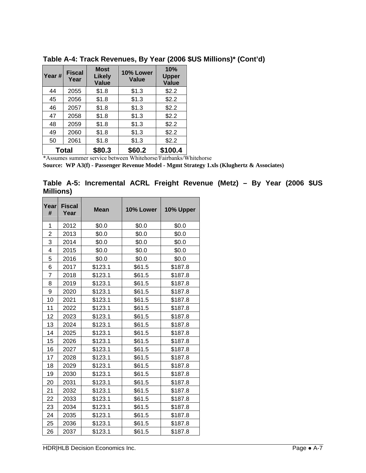| Year # | <b>Fiscal</b><br>Year | <b>Most</b><br><b>Likely</b><br><b>Value</b> | 10% Lower<br>Value | 10%<br><b>Upper</b><br><b>Value</b> |
|--------|-----------------------|----------------------------------------------|--------------------|-------------------------------------|
| 44     | 2055                  | \$1.8                                        | \$1.3              | \$2.2                               |
| 45     | 2056                  | \$1.8                                        | \$1.3              | \$2.2                               |
| 46     | 2057                  | \$1.8                                        | \$1.3              | \$2.2                               |
| 47     | 2058                  | \$1.8                                        | \$1.3              | \$2.2                               |
| 48     | 2059                  | \$1.8                                        | \$1.3              | \$2.2                               |
| 49     | 2060                  | \$1.8                                        | \$1.3              | \$2.2                               |
| 50     | 2061                  | \$1.8                                        | \$1.3              | \$2.2                               |
| Total  |                       | \$80.3                                       | \$60.2             | \$100.4                             |

**Table A-4: Track Revenues, By Year (2006 \$US Millions)\* (Cont'd)** 

\*Assumes summer service between Whitehorse/Fairbanks/Whitehorse

**Source: WP A3(f) - Passenger Revenue Model - Mgmt Strategy 1.xls (Klughertz & Associates)** 

**Table A-5: Incremental ACRL Freight Revenue (Metz) – By Year (2006 \$US Millions)** 

| Year<br>#      | <b>Fiscal</b><br>Year | <b>Mean</b> | 10% Lower | 10% Upper |
|----------------|-----------------------|-------------|-----------|-----------|
| 1              | 2012                  | \$0.0       | \$0.0     | \$0.0     |
| 2              | 2013                  | \$0.0       | \$0.0     | \$0.0     |
| 3              | 2014                  | \$0.0       | \$0.0     | \$0.0     |
| 4              | 2015                  | \$0.0       | \$0.0     | \$0.0     |
| 5              | 2016                  | \$0.0       | \$0.0     | \$0.0     |
| 6              | 2017                  | \$123.1     | \$61.5    | \$187.8   |
| $\overline{7}$ | 2018                  | \$123.1     | \$61.5    | \$187.8   |
| 8              | 2019                  | \$123.1     | \$61.5    | \$187.8   |
| 9              | 2020                  | \$123.1     | \$61.5    | \$187.8   |
| 10             | 2021                  | \$123.1     | \$61.5    | \$187.8   |
| 11             | 2022                  | \$123.1     | \$61.5    | \$187.8   |
| 12             | 2023                  | \$123.1     | \$61.5    | \$187.8   |
| 13             | 2024                  | \$123.1     | \$61.5    | \$187.8   |
| 14             | 2025                  | \$123.1     | \$61.5    | \$187.8   |
| 15             | 2026                  | \$123.1     | \$61.5    | \$187.8   |
| 16             | 2027                  | \$123.1     | \$61.5    | \$187.8   |
| 17             | 2028                  | \$123.1     | \$61.5    | \$187.8   |
| 18             | 2029                  | \$123.1     | \$61.5    | \$187.8   |
| 19             | 2030                  | \$123.1     | \$61.5    | \$187.8   |
| 20             | 2031                  | \$123.1     | \$61.5    | \$187.8   |
| 21             | 2032                  | \$123.1     | \$61.5    | \$187.8   |
| 22             | 2033                  | \$123.1     | \$61.5    | \$187.8   |
| 23             | 2034                  | \$123.1     | \$61.5    | \$187.8   |
| 24             | 2035                  | \$123.1     | \$61.5    | \$187.8   |
| 25             | 2036                  | \$123.1     | \$61.5    | \$187.8   |
| 26             | 2037                  | \$123.1     | \$61.5    | \$187.8   |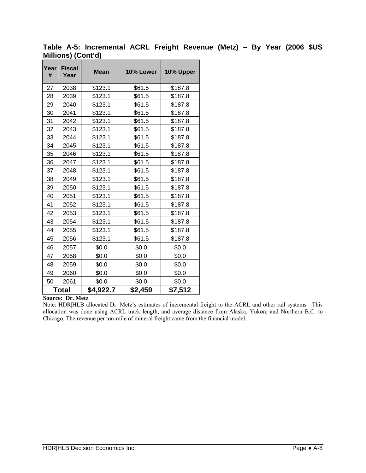| Year<br># | <b>Fiscal</b><br>Year | <b>Mean</b> | 10% Lower | 10% Upper |
|-----------|-----------------------|-------------|-----------|-----------|
| 27        | 2038                  | \$123.1     | \$61.5    | \$187.8   |
| 28        | 2039                  | \$123.1     | \$61.5    | \$187.8   |
| 29        | 2040                  | \$123.1     | \$61.5    | \$187.8   |
| 30        | 2041                  | \$123.1     | \$61.5    | \$187.8   |
| 31        | 2042                  | \$123.1     | \$61.5    | \$187.8   |
| 32        | 2043                  | \$123.1     | \$61.5    | \$187.8   |
| 33        | 2044                  | \$123.1     | \$61.5    | \$187.8   |
| 34        | 2045                  | \$123.1     | \$61.5    | \$187.8   |
| 35        | 2046                  | \$123.1     | \$61.5    | \$187.8   |
| 36        | 2047                  | \$123.1     | \$61.5    | \$187.8   |
| 37        | 2048                  | \$123.1     | \$61.5    | \$187.8   |
| 38        | 2049                  | \$123.1     | \$61.5    | \$187.8   |
| 39        | 2050                  | \$123.1     | \$61.5    | \$187.8   |
| 40        | 2051                  | \$123.1     | \$61.5    | \$187.8   |
| 41        | 2052                  | \$123.1     | \$61.5    | \$187.8   |
| 42        | 2053                  | \$123.1     | \$61.5    | \$187.8   |
| 43        | 2054                  | \$123.1     | \$61.5    | \$187.8   |
| 44        | 2055                  | \$123.1     | \$61.5    | \$187.8   |
| 45        | 2056                  | \$123.1     | \$61.5    | \$187.8   |
| 46        | 2057                  | \$0.0       | \$0.0     | \$0.0     |
| 47        | 2058                  | \$0.0       | \$0.0     | \$0.0     |
| 48        | 2059                  | \$0.0       | \$0.0     | \$0.0     |
| 49        | 2060                  | \$0.0       | \$0.0     | \$0.0     |
| 50        | 2061                  | \$0.0       | \$0.0     | \$0.0     |
|           | Total                 | \$4,922.7   | \$2,459   | \$7,512   |

**Table A-5: Incremental ACRL Freight Revenue (Metz) – By Year (2006 \$US Millions) (Cont'd)** 

#### **Source: Dr. Metz**

Note: HDR|HLB allocated Dr. Metz's estimates of incremental freight to the ACRL and other rail systems. This allocation was done using ACRL track length, and average distance from Alaska, Yukon, and Northern B.C. to Chicago. The revenue per ton-mile of mineral freight came from the financial model.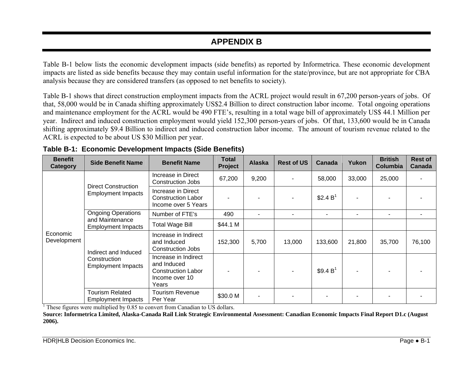### **APPENDIX B**

Table B-1 below lists the economic development impacts (side benefits) as reported by Informetrica. These economic development impacts are listed as side benefits because they may contain useful information for the state/province, but are not appropriate for CBA analysis because they are considered transfers (as opposed to net benefits to society).

Table B-1 shows that direct construction employment impacts from the ACRL project would result in 67,200 person-years of jobs. Of that, 58,000 would be in Canada shifting approximately US\$2.4 Billion to direct construction labor income. Total ongoing operations and maintenance employment for the ACRL would be 490 FTE's, resulting in a total wage bill of approximately US\$ 44.1 Million per year. Indirect and induced construction employment would yield 152,300 person-years of jobs. Of that, 133,600 would be in Canada shifting approximately \$9.4 Billion to indirect and induced construction labor income. The amount of tourism revenue related to the ACRL is expected to be about US \$30 Million per year.

| <b>Benefit</b><br>Category | <b>Side Benefit Name</b>                                          | <b>Benefit Name</b>                                                                         | Total<br>Project | <b>Alaska</b> | <b>Rest of US</b> | Canada               | Yukon  | <b>British</b><br><b>Columbia</b> | <b>Rest of</b><br>Canada |
|----------------------------|-------------------------------------------------------------------|---------------------------------------------------------------------------------------------|------------------|---------------|-------------------|----------------------|--------|-----------------------------------|--------------------------|
|                            | <b>Direct Construction</b><br><b>Employment Impacts</b>           | Increase in Direct<br>Construction Jobs                                                     | 67,200           | 9,200         |                   | 58,000               | 33,000 | 25,000                            |                          |
|                            |                                                                   | Increase in Direct<br><b>Construction Labor</b><br>Income over 5 Years                      |                  |               |                   | \$2.4 $B^1$          |        |                                   |                          |
|                            | <b>Ongoing Operations</b>                                         | Number of FTE's                                                                             | 490              |               |                   |                      |        |                                   |                          |
|                            | and Maintenance<br><b>Employment Impacts</b>                      | <b>Total Wage Bill</b>                                                                      | \$44.1 M         |               |                   |                      |        |                                   |                          |
| Economic<br>Development    | Indirect and Induced<br>Construction<br><b>Employment Impacts</b> | Increase in Indirect<br>and Induced<br>Construction Jobs                                    | 152,300          | 5,700         | 13,000            | 133,600              | 21,800 | 35,700                            | 76,100                   |
|                            |                                                                   | Increase in Indirect<br>and Induced<br><b>Construction Labor</b><br>Income over 10<br>Years |                  |               |                   | \$9.4 B <sup>1</sup> |        |                                   |                          |
|                            | <b>Tourism Related</b><br>Employment Impacts                      | <b>Tourism Revenue</b><br>Per Year                                                          | \$30.0 M         |               |                   |                      |        |                                   |                          |

<sup>1</sup> These figures were multiplied by 0.85 to convert from Canadian to US dollars.

**Source: Informetrica Limited, Alaska-Canada Rail Link Strategic Environmental Assessment: Canadian Economic Impacts Final Report D1.c (August 2006).**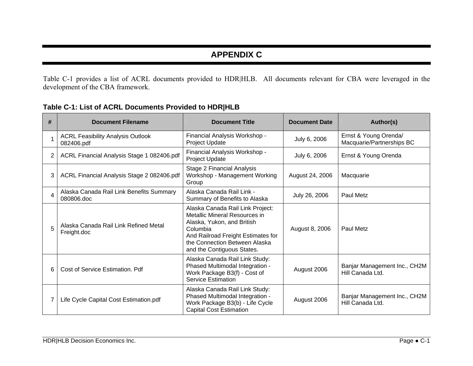## **APPENDIX C**

Table C-1 provides a list of ACRL documents provided to HDR|HLB. All documents relevant for CBA were leveraged in the development of the CBA framework.

| # | <b>Document Filename</b>                               | <b>Document Title</b>                                                                                                                                                                                            | <b>Document Date</b> | Author(s)                                          |
|---|--------------------------------------------------------|------------------------------------------------------------------------------------------------------------------------------------------------------------------------------------------------------------------|----------------------|----------------------------------------------------|
|   | <b>ACRL Feasibility Analysis Outlook</b><br>082406.pdf | Financial Analysis Workshop -<br>Project Update                                                                                                                                                                  | July 6, 2006         | Ernst & Young Orenda/<br>Macquarie/Partnerships BC |
| 2 | ACRL Financial Analysis Stage 1 082406.pdf             | Financial Analysis Workshop -<br>Project Update                                                                                                                                                                  | July 6, 2006         | Ernst & Young Orenda                               |
| 3 | ACRL Financial Analysis Stage 2 082406.pdf             | Stage 2 Financial Analysis<br>Workshop - Management Working<br>Group                                                                                                                                             | August 24, 2006      | Macquarie                                          |
| 4 | Alaska Canada Rail Link Benefits Summary<br>080806.doc | Alaska Canada Rail Link -<br>Summary of Benefits to Alaska                                                                                                                                                       | July 26, 2006        | <b>Paul Metz</b>                                   |
| 5 | Alaska Canada Rail Link Refined Metal<br>Freight.doc   | Alaska Canada Rail Link Project:<br>Metallic Mineral Resources in<br>Alaska, Yukon, and British<br>Columbia<br>And Railroad Freight Estimates for<br>the Connection Between Alaska<br>and the Contiguous States. | August 8, 2006       | Paul Metz                                          |
| 6 | Cost of Service Estimation. Pdf                        | Alaska Canada Rail Link Study:<br>Phased Multimodal Integration -<br>Work Package B3(f) - Cost of<br><b>Service Estimation</b>                                                                                   | August 2006          | Banjar Management Inc., CH2M<br>Hill Canada Ltd.   |
|   | Life Cycle Capital Cost Estimation.pdf                 | Alaska Canada Rail Link Study:<br>Phased Multimodal Integration -<br>Work Package B3(b) - Life Cycle<br><b>Capital Cost Estimation</b>                                                                           | August 2006          | Banjar Management Inc., CH2M<br>Hill Canada Ltd.   |

**Table C-1: List of ACRL Documents Provided to HDR|HLB**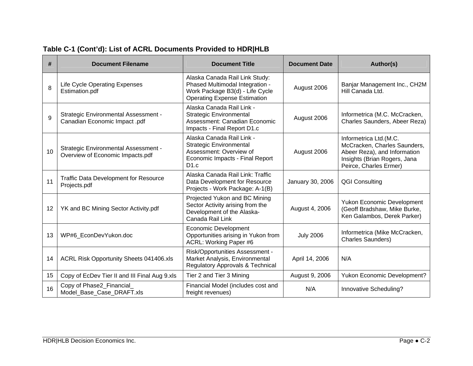| #            | <b>Document Title</b><br><b>Document Filename</b>                               |                                                                                                                                             | <b>Document Date</b> | Author(s)                                                                                                                                        |
|--------------|---------------------------------------------------------------------------------|---------------------------------------------------------------------------------------------------------------------------------------------|----------------------|--------------------------------------------------------------------------------------------------------------------------------------------------|
| $\mathsf{R}$ | <b>Life Cycle Operating Expenses</b><br>Estimation.pdf                          | Alaska Canada Rail Link Study:<br>Phased Multimodal Integration -<br>Work Package B3(d) - Life Cycle<br><b>Operating Expense Estimation</b> | August 2006          | Banjar Management Inc., CH2M<br>Hill Canada Ltd.                                                                                                 |
| 9            | <b>Strategic Environmental Assessment -</b><br>Canadian Economic Impact .pdf    | Alaska Canada Rail Link -<br><b>Strategic Environmental</b><br>Assessment: Canadian Economic<br>Impacts - Final Report D1.c                 | August 2006          | Informetrica (M.C. McCracken,<br>Charles Saunders, Abeer Reza)                                                                                   |
| 10           | <b>Strategic Environmental Assessment -</b><br>Overview of Economic Impacts.pdf | Alaska Canada Rail Link -<br><b>Strategic Environmental</b><br>Assessment: Overview of<br>Economic Impacts - Final Report<br>D1.c           | August 2006          | Informetrica Ltd.(M.C.<br>McCracken, Charles Saunders,<br>Abeer Reza), and Information<br>Insights (Brian Rogers, Jana<br>Peirce, Charles Ermer) |
| 11           | <b>Traffic Data Development for Resource</b><br>Projects.pdf                    | Alaska Canada Rail Link: Traffic<br>Data Development for Resource<br>Projects - Work Package: A-1(B)                                        | January 30, 2006     | <b>QGI Consulting</b>                                                                                                                            |
| 12           | YK and BC Mining Sector Activity.pdf                                            | Projected Yukon and BC Mining<br>Sector Activity arising from the<br>Development of the Alaska-<br>Canada Rail Link                         | August 4, 2006       | Yukon Economic Development<br>(Geoff Bradshaw, Mike Burke,<br>Ken Galambos, Derek Parker)                                                        |
| 13           | WP#6_EconDevYukon.doc                                                           | <b>Economic Development</b><br>Opportunities arising in Yukon from<br>ACRL: Working Paper #6                                                | <b>July 2006</b>     | Informetrica (Mike McCracken,<br><b>Charles Saunders)</b>                                                                                        |
| 14           | ACRL Risk Opportunity Sheets 041406.xls                                         | Risk/Opportunities Assessment -<br>Market Analysis, Environmental<br>Regulatory Approvals & Technical                                       | April 14, 2006       | N/A                                                                                                                                              |
| 15           | Copy of EcDev Tier II and III Final Aug 9.xls                                   | Tier 2 and Tier 3 Mining                                                                                                                    | August 9, 2006       | Yukon Economic Development?                                                                                                                      |
| 16           | Copy of Phase2_Financial<br>Model_Base_Case_DRAFT.xls                           | Financial Model (includes cost and<br>freight revenues)                                                                                     | N/A                  | Innovative Scheduling?                                                                                                                           |

## **Table C-1 (Cont'd): List of ACRL Documents Provided to HDR|HLB**